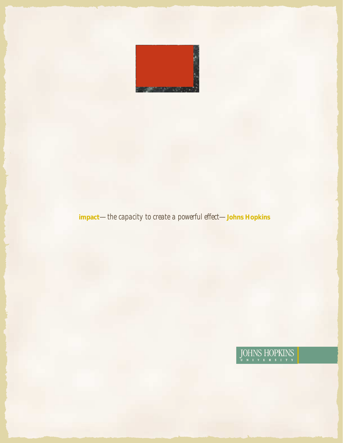

# **impact**—*the capacity to create a powerful effect*—**Johns Hopkins**

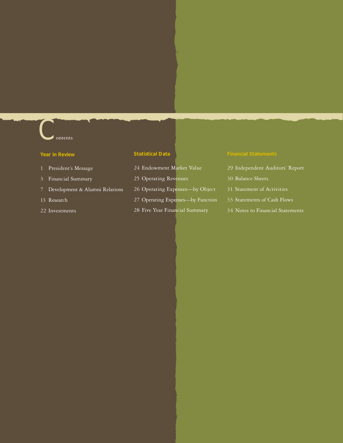# $\epsilon$  ontents

#### **Year in Review**

- 1 President's Message
- 3 Financial Summary
- 7 Development & Alumni Relations
- 13 Research
- 22 Investments

## **Statistical Data**

- 24 Endowment Market Value
- 25 Operating Revenues
- 26 Operating Expenses—by Object
- 27 Operating Expenses—by Function
- 28 Five Year Financial Summary

- 29 Independent Auditors' Report
- 30 Balance Sheets
- 31 Statement of Activities
- 33 Statements of Cash Flows
- 34 Notes to Financial Statements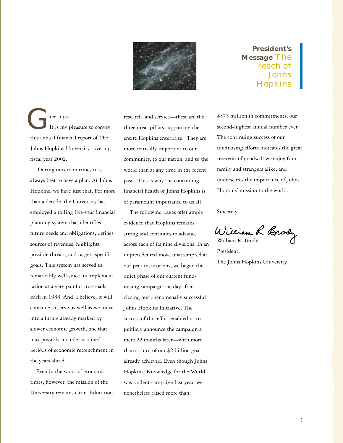

**President's Message** The reach of Johns **Hopkins** 

 reetings: It is my pleasure to convey this annual financial report of The Johns Hopkins University covering fiscal year 2002. reetings: research, and service—these are the<br>The service of the service are the three great pillars supporting the<br>this appeal francial report of The service Hopkins opterwise. They are

 During uncertain times it is always best to have a plan. At Johns Hopkins, we have just that. For more than a decade, the University has employed a rolling five-year financial planning system that identifies future needs and obligations, defines sources of revenues, highlights possible threats, and targets specific goals. This system has served us remarkably well since its implementation at a very painful crossroads back in 1988. And, I believe, it will continue to serve us well as we move into a future already marked by slower economic growth, one that may possibly include sustained periods of economic retrenchment in the years ahead.

 Even in the worst of economic times, however, the mission of the University remains clear. Education, three great pillars supporting the entire Hopkins enterprise. They are more critically important to our community, to our nation, and to the world than at any time in the recent past. This is why the continuing financial health of Johns Hopkins is of paramount importance to us all.

 The following pages offer ample evidence that Hopkins remains strong and continues to advance across each of its nine divisions. In an unprecedented move unattempted at our peer institutions, we began the quiet phase of our current fundraising campaign the day after closing our phenomenally successful Johns Hopkins Initiative. The success of this effort enabled us to publicly announce the campaign a mere 22 months later—with more than a third of our \$2 billion goal already achieved. Even though Johns Hopkins: Knowledge for the World was a silent campaign last year, we nonetheless raised more than

\$373 million in commitments, our second-highest annual number ever. The continuing success of our fundraising efforts indicates the great reservoir of goodwill we enjoy from family and strangers alike, and underscores the importance of Johns Hopkins' mission to the world.

Sincerely,

William R. Brody

President, The Johns Hopkins University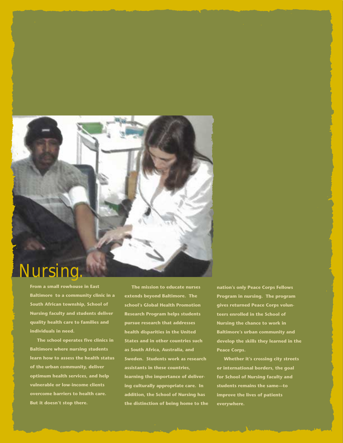# Nursing.

**From a small rowhouse in East Baltimore to a community clinic in a South African township, School of Nursing faculty and students deliver quality health care to families and individuals in need.**

 **The school operates five clinics in Baltimore where nursing students learn how to assess the health status of the urban community, deliver optimum health services, and help vulnerable or low-income clients overcome barriers to health care. But it doesn't stop there.**

 **The mission to educate nurses extends beyond Baltimore. The school's Global Health Promotion Research Program helps students pursue research that addresses health disparities in the United States and in other countries such as South Africa, Australia, and Sweden. Students work as research assistants in these countries, learning the importance of delivering culturally appropriate care. In addition, the School of Nursing has the distinction of being home to the** **nation's only Peace Corps Fellows Program in nursing. The program gives returned Peace Corps volunteers enrolled in the School of Nursing the chance to work in Baltimore's urban community and develop the skills they learned in the Peace Corps.**

 **Whether it's crossing city streets or international borders, the goal for School of Nursing faculty and students remains the same—to improve the lives of patients everywhere.**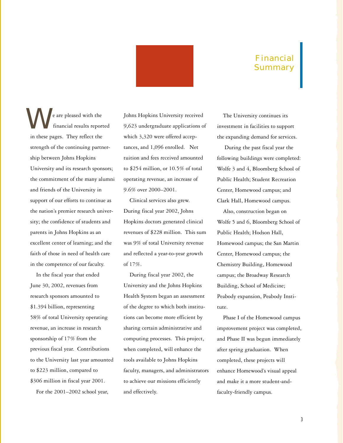# Financial Summary

**in the set of the Separate Started West** from the financial results report in these pages. They reflect the financial results reported strength of the continuing partnership between Johns Hopkins University and its research sponsors; the commitment of the many alumni and friends of the University in support of our efforts to continue as the nation's premier research university; the confidence of students and parents in Johns Hopkins as an excellent center of learning; and the faith of those in need of health care in the competence of our faculty.

 In the fiscal year that ended June 30, 2002, revenues from research sponsors amounted to \$1.394 billion, representing 58% of total University operating revenue, an increase in research sponsorship of 17% from the previous fiscal year. Contributions to the University last year amounted to \$223 million, compared to \$306 million in fiscal year 2001.

For the 2001–2002 school year,

Johns Hopkins University received 9,623 undergraduate applications of which 3,320 were offered acceptances, and 1,096 enrolled. Net tuition and fees received amounted to \$254 million, or 10.5% of total operating revenue, an increase of 9.6% over 2000–2001.

 Clinical services also grew. During fiscal year 2002, Johns Hopkins doctors generated clinical revenues of \$228 million. This sum was 9% of total University revenue and reflected a year-to-year growth of 17%.

 During fiscal year 2002, the University and the Johns Hopkins Health System began an assessment of the degree to which both institutions can become more efficient by sharing certain administrative and computing processes. This project, when completed, will enhance the tools available to Johns Hopkins faculty, managers, and administrators to achieve our missions efficiently and effectively.

 The University continues its investment in facilities to support the expanding demand for services.

 During the past fiscal year the following buildings were completed: Wolfe 3 and 4, Bloomberg School of Public Health; Student Recreation Center, Homewood campus; and Clark Hall, Homewood campus.

 Also, construction began on Wolfe 5 and 6, Bloomberg School of Public Health; Hodson Hall, Homewood campus; the San Martin Center, Homewood campus; the Chemistry Building, Homewood campus; the Broadway Research Building, School of Medicine; Peabody expansion, Peabody Institute.

 Phase I of the Homewood campus improvement project was completed, and Phase II was begun immediately after spring graduation. When completed, these projects will enhance Homewood's visual appeal and make it a more student-andfaculty-friendly campus.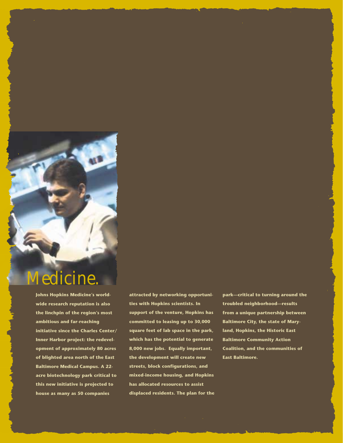

# Medicine.

**Johns Hopkins Medicine's worldwide research reputation is also the linchpin of the region's most ambitious and far-reaching initiative since the Charles Center/ Inner Harbor project: the redevelopment of approximately 80 acres of blighted area north of the East Baltimore Medical Campus. A 22 acre biotechnology park critical to this new initiative is projected to house as many as 50 companies**

**attracted by networking opportunities with Hopkins scientists. In support of the venture, Hopkins has committed to leasing up to 30,000 square feet of lab space in the park, which has the potential to generate 8,000 new jobs. Equally important, the development will create new streets, block configurations, and mixed-income housing, and Hopkins has allocated resources to assist displaced residents. The plan for the** **park—critical to turning around the troubled neighborhood—results from a unique partnership between Baltimore City, the state of Maryland, Hopkins, the Historic East Baltimore Community Action Coalition, and the communities of East Baltimore.**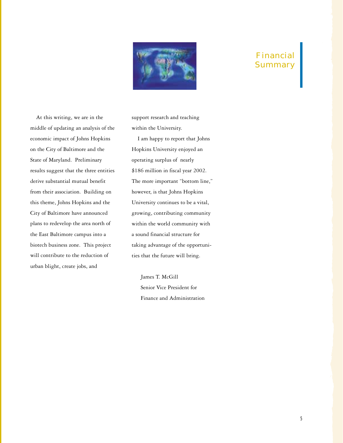

# Financial **Summary**

 At this writing, we are in the middle of updating an analysis of the economic impact of Johns Hopkins on the City of Baltimore and the State of Maryland. Preliminary results suggest that the three entities derive substantial mutual benefit from their association. Building on this theme, Johns Hopkins and the City of Baltimore have announced plans to redevelop the area north of the East Baltimore campus into a biotech business zone. This project will contribute to the reduction of urban blight, create jobs, and

support research and teaching within the University.

 I am happy to report that Johns Hopkins University enjoyed an operating surplus of nearly \$186 million in fiscal year 2002. The more important "bottom line," however, is that Johns Hopkins University continues to be a vital, growing, contributing community within the world community with a sound financial structure for taking advantage of the opportunities that the future will bring.

 James T. McGill Senior Vice President for Finance and Administration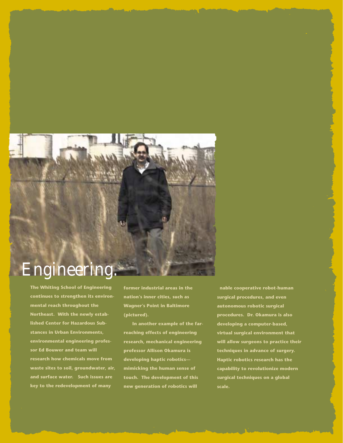# Engineering.

**The Whiting School of Engineering continues to strengthen its environmental reach throughout the Northeast. With the newly established Center for Hazardous Substances in Urban Environments, environmental engineering professor Ed Bouwer and team will research how chemicals move from waste sites to soil, groundwater, air, and surface water. Such issues are key to the redevelopment of many**

**former industrial areas in the nation's inner cities, such as Wagner's Point in Baltimore (pictured).**

 **In another example of the farreaching effects of engineering research, mechanical engineering professor Allison Okamura is developing haptic robotics mimicking the human sense of touch. The development of this new generation of robotics will**

**enable cooperative robot-human surgical procedures, and even autonomous robotic surgical procedures. Dr. Okamura is also developing a computer-based, virtual surgical environment that will allow surgeons to practice their techniques in advance of surgery. Haptic robotics research has the capability to revolutionize modern surgical techniques on a global scale.**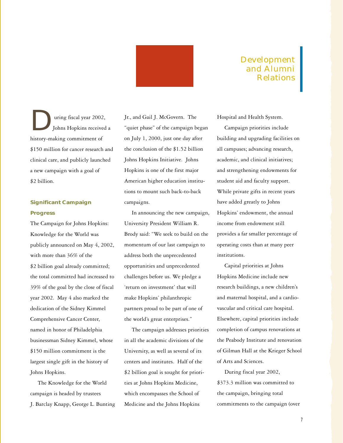

# Development and Alumni Relations

 uring fiscal year 2002, Johns Hopkins received a aring fiscal year 2002<br>Johns Hopkins receive<br>history-making commitment of \$150 million for cancer research and clinical care, and publicly launched a new campaign with a goal of \$2 billion.

## **Significant Campaign Progress**

The Campaign for Johns Hopkins: Knowledge for the World was publicly announced on May 4, 2002, with more than 36% of the \$2 billion goal already committed; the total committed had increased to 39% of the goal by the close of fiscal year 2002. May 4 also marked the dedication of the Sidney Kimmel Comprehensive Cancer Center, named in honor of Philadelphia businessman Sidney Kimmel, whose \$150 million commitment is the largest single gift in the history of Johns Hopkins.

 The Knowledge for the World campaign is headed by trustees J. Barclay Knapp, George L. Bunting Jr., and Gail J. McGovern. The "quiet phase" of the campaign began on July 1, 2000, just one day after the conclusion of the \$1.52 billion Johns Hopkins Initiative. Johns Hopkins is one of the first major American higher education institutions to mount such back-to-back campaigns.

 In announcing the new campaign, University President William R. Brody said: "We seek to build on the momentum of our last campaign to address both the unprecedented opportunities and unprecedented challenges before us. We pledge a 'return on investment' that will make Hopkins' philanthropic partners proud to be part of one of the world's great enterprises."

 The campaign addresses priorities in all the academic divisions of the University, as well as several of its centers and institutes. Half of the \$2 billion goal is sought for priorities at Johns Hopkins Medicine, which encompasses the School of Medicine and the Johns Hopkins

Hospital and Health System.

 Campaign priorities include building and upgrading facilities on all campuses; advancing research, academic, and clinical initiatives; and strengthening endowments for student aid and faculty support. While private gifts in recent years have added greatly to Johns Hopkins' endowment, the annual income from endowment still provides a far smaller percentage of operating costs than at many peer institutions.

 Capital priorities at Johns Hopkins Medicine include new research buildings, a new children's and maternal hospital, and a cardiovascular and critical care hospital. Elsewhere, capital priorities include completion of campus renovations at the Peabody Institute and renovation of Gilman Hall at the Krieger School of Arts and Sciences.

 During fiscal year 2002, \$373.3 million was committed to the campaign, bringing total commitments to the campaign (over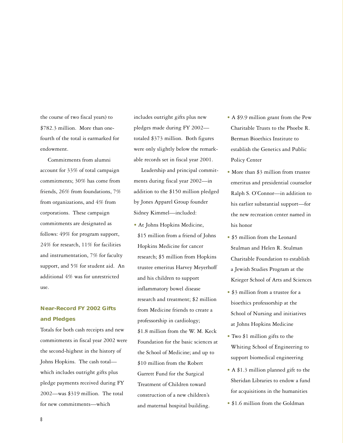the course of two fiscal years) to \$782.3 million. More than onefourth of the total is earmarked for endowment.

 Commitments from alumni account for 33% of total campaign commitments; 30% has come from friends, 26% from foundations, 7% from organizations, and 4% from corporations. These campaign commitments are designated as follows: 49% for program support, 24% for research, 11% for facilities and instrumentation, 7% for faculty support, and 5% for student aid. An additional 4% was for unrestricted use.

# **Near-Record FY 2002 Gifts and Pledges**

Totals for both cash receipts and new commitments in fiscal year 2002 were the second-highest in the history of Johns Hopkins. The cash total which includes outright gifts plus pledge payments received during FY 2002—was \$319 million. The total for new commitments—which

includes outright gifts plus new pledges made during FY 2002 totaled \$373 million. Both figures were only slightly below the remarkable records set in fiscal year 2001.

 Leadership and principal commitments during fiscal year 2002—in addition to the \$150 million pledged by Jones Apparel Group founder Sidney Kimmel—included:

• At Johns Hopkins Medicine, \$15 million from a friend of Johns Hopkins Medicine for cancer research; \$5 million from Hopkins trustee emeritus Harvey Meyerhoff and his children to support inflammatory bowel disease research and treatment; \$2 million from Medicine friends to create a professorship in cardiology; \$1.8 million from the W. M. Keck Foundation for the basic sciences at the School of Medicine; and up to \$10 million from the Robert Garrett Fund for the Surgical Treatment of Children toward construction of a new children's and maternal hospital building.

- A \$9.9 million grant from the Pew Charitable Trusts to the Phoebe R. Berman Bioethics Institute to establish the Genetics and Public Policy Center
- More than \$3 million from trustee emeritus and presidential counselor Ralph S. O'Connor—in addition to his earlier substantial support—for the new recreation center named in his honor
- \$5 million from the Leonard Stulman and Helen R. Stulman Charitable Foundation to establish a Jewish Studies Program at the Krieger School of Arts and Sciences
- \$3 million from a trustee for a bioethics professorship at the School of Nursing and initiatives at Johns Hopkins Medicine
- Two \$1 million gifts to the Whiting School of Engineering to support biomedical engineering
- A \$1.3 million planned gift to the Sheridan Libraries to endow a fund for acquisitions in the humanities
- \$1.6 million from the Goldman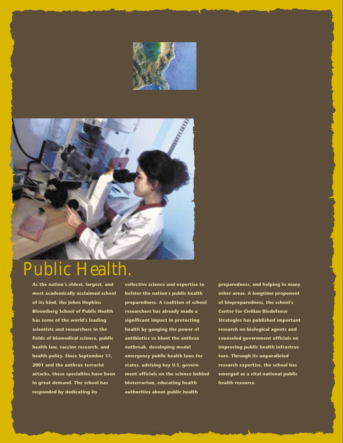



# Public Health

**As the nation's oldest, largest, and most academically acclaimed school of its kind, the Johns Hopkins Bloomberg School of Public Health has some of the world's leading scientists and researchers in the fields of biomedical science, public health law, vaccine research, and health policy. Since September 11, 2001 and the anthrax terrorist attacks, these specialties have been in great demand. The school has responded by dedicating its**

**collective science and expertise to bolster the nation's public health preparedness. A coalition of school researchers has already made a significant impact in protecting health by gauging the power of antibiotics to blunt the anthrax outbreak, developing model emergency public health laws for states, advising key U.S. government officials on the science behind bioterrorism, educating health authorities about public health**

**preparedness, and helping in many other areas. A longtime proponent of biopreparedness, the school's Center for Civilian Biodefense Strategies has published important research on biological agents and counseled government officials on improving public health infrastructure. Through its unparalleled research expertise, the school has emerged as a vital national public health resource.**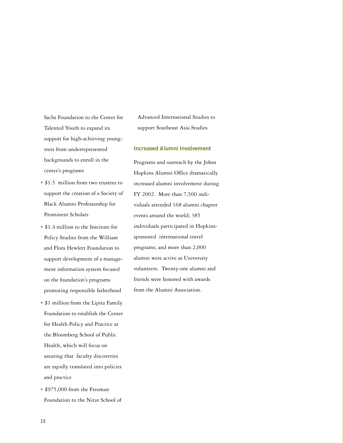Sachs Foundation to the Center for Talented Youth to expand its support for high-achieving youngsters from underrepresented backgrounds to enroll in the center's programs

- \$1.5 million from two trustees to support the creation of a Society of Black Alumni Professorship for Prominent Scholars
- \$1.4 million to the Institute for Policy Studies from the William and Flora Hewlett Foundation to support development of a management information system focused on the foundation's programs promoting responsible fatherhood
- \$1 million from the Lipitz Family Foundation to establish the Center for Health Policy and Practice at the Bloomberg School of Public Health, which will focus on assuring that faculty discoveries are rapidly translated into policies and practice
- \$975,000 from the Freeman Foundation to the Nitze School of

Advanced International Studies to support Southeast Asia Studies

#### **Increased Alumni Involvement**

Programs and outreach by the Johns Hopkins Alumni Office dramatically increased alumni involvement during FY 2002. More than 7,500 individuals attended 168 alumni chapter events around the world; 385 individuals participated in Hopkinssponsored international travel programs; and more than 2,000 alumni were active as University volunteers. Twenty-one alumni and friends were honored with awards from the Alumni Association.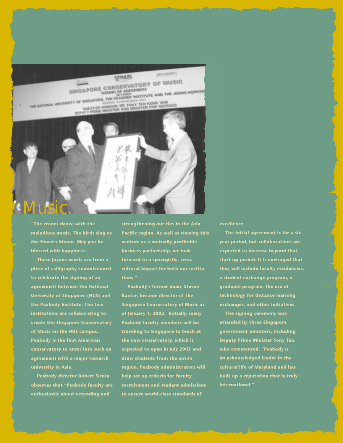

**"The cranes dance with the melodious music. The birds sing as the flowers bloom. May you be blessed with happiness."**

 **Those joyous words are from a piece of calligraphy commissioned to celebrate the signing of an agreement between the National University of Singapore (NUS) and the Peabody Institute. The two institutions are collaborating to create the Singapore Conservatory of Music on the NUS campus. Peabody is the first American conservatory to enter into such an agreement with a major research university in Asia.**

 **Peabody director Robert Sirota observes that "Peabody faculty are enthusiastic about extending and**

**strengthening our ties in the Asia Pacific region. As well as viewing this venture as a mutually profitable business partnership, we look forward to a synergistic, crosscultural impact for both our institutions."**

 **Peabody's former dean, Steven Baxter, became director of the Singapore Conservatory of Music as of January 1, 2002. Initially, many Peabody faculty members will be traveling to Singapore to teach at the new conservatory, which is expected to open in July 2003 and draw students from the entire region. Peabody administrators will help set up criteria for faculty recruitment and student admissions to ensure world-class standards of**

**excellence.**

 **The initial agreement is for a sixyear period, but collaborations are expected to increase beyond that start-up period. It is envisaged that they will include faculty residencies, a student exchange program, a graduate program, the use of technology for distance learning exchanges, and other initiatives.**

 **The signing ceremony was attended by three Singapore government ministers, including Deputy Prime Minister Tony Tan, who commented: "Peabody is an acknowledged leader in the cultural life of Maryland and has built up a reputation that is truly**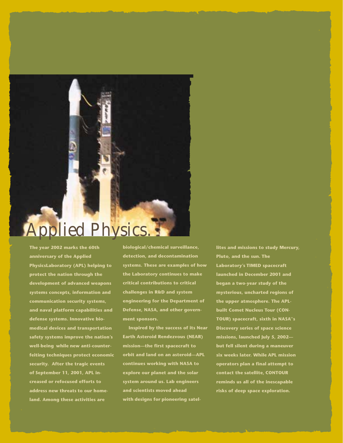# Applied Physics.

**The year 2002 marks the 60th anniversary of the Applied PhysicsLaboratory (APL) helping to protect the nation through the development of advanced weapons systems concepts, information and communication security systems, and naval platform capabilities and defense systems. Innovative biomedical devices and transportation safety systems improve the nation's well-being while new anti-counterfeiting techniques protect economic security. After the tragic events of September 11, 2001, APL increased or refocused efforts to address new threats to our homeland. Among these activities are**

**biological/chemical surveillance, detection, and decontamination systems. These are examples of how the Laboratory continues to make critical contributions to critical challenges in R&D and system engineering for the Department of Defense, NASA, and other government sponsors.**

 **Inspired by the success of its Near Earth Asteroid Rendezvous (NEAR) mission—the first spacecraft to orbit and land on an asteroid—APL continues working with NASA to explore our planet and the solar system around us. Lab engineers and scientists moved ahead with designs for pioneering satel-** **lites and missions to study Mercury, Pluto, and the sun. The Laboratory's TIMED spacecraft launched in December 2001 and began a two-year study of the mysterious, uncharted regions of the upper atmosphere. The APLbuilt Comet Nucleus Tour (CON-TOUR) spacecraft, sixth in NASA''s Discovery series of space science missions, launched July 5, 2002 but fell silent during a maneuver six weeks later. While APL mission operators plan a final attempt to contact the satellite, CONTOUR reminds us all of the inescapable risks of deep space exploration.**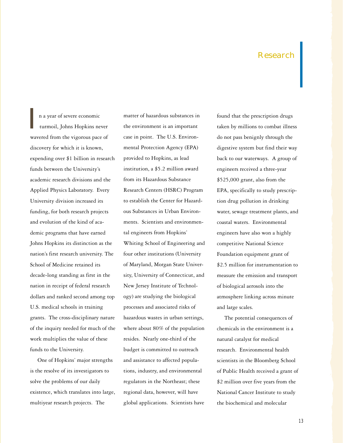# Research

I n a year of severe economic turmoil, Johns Hopkins never wavered from the vigorous pace of discovery for which it is known, expending over \$1 billion in research funds between the University's academic research divisions and the Applied Physics Laboratory. Every University division increased its funding, for both research projects and evolution of the kind of academic programs that have earned Johns Hopkins its distinction as the nation's first research university. The School of Medicine retained its decade-long standing as first in the nation in receipt of federal research dollars and ranked second among top U.S. medical schools in training grants. The cross-disciplinary nature of the inquiry needed for much of the work multiplies the value of these funds to the University.

 One of Hopkins' major strengths is the resolve of its investigators to solve the problems of our daily existence, which translates into large, multiyear research projects. The

matter of hazardous substances in the environment is an important case in point. The U.S. Environmental Protection Agency (EPA) provided to Hopkins, as lead institution, a \$5.2 million award from its Hazardous Substance Research Centers (HSRC) Program to establish the Center for Hazardous Substances in Urban Environments. Scientists and environmental engineers from Hopkins' Whiting School of Engineering and four other institutions (University of Maryland, Morgan State University, University of Connecticut, and New Jersey Institute of Technology) are studying the biological processes and associated risks of hazardous wastes in urban settings, where about 80% of the population resides. Nearly one-third of the budget is committed to outreach and assistance to affected populations, industry, and environmental regulators in the Northeast; these regional data, however, will have global applications. Scientists have

found that the prescription drugs taken by millions to combat illness do not pass benignly through the digestive system but find their way back to our waterways. A group of engineers received a three-year \$525,000 grant, also from the EPA, specifically to study prescription drug pollution in drinking water, sewage treatment plants, and coastal waters. Environmental engineers have also won a highly competitive National Science Foundation equipment grant of \$2.5 million for instrumentation to measure the emission and transport of biological aerosols into the atmosphere linking across minute and large scales.

 The potential consequences of chemicals in the environment is a natural catalyst for medical research. Environmental health scientists in the Bloomberg School of Public Health received a grant of \$2 million over five years from the National Cancer Institute to study the biochemical and molecular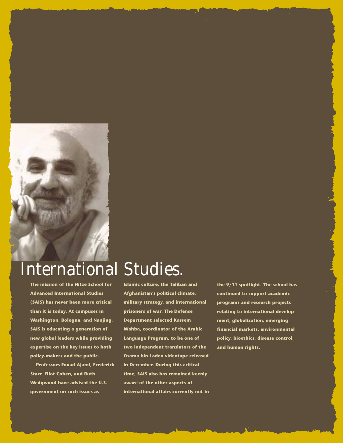

# International Studies.

**The mission of the Nitze School for Advanced International Studies (SAIS) has never been more critical than it is today. At campuses in Washington, Bologna, and Nanjing, SAIS is educating a generation of new global leaders while providing expertise on the key issues to both policy-makers and the public.**

 **Professors Fouad Ajami, Frederick Starr, Eliot Cohen, and Ruth Wedgwood have advised the U.S. government on such issues as**

**Islamic culture, the Taliban and Afghanistan's political climate, military strategy, and international prisoners of war. The Defense Department selected Kassem Wahba, coordinator of the Arabic Language Program, to be one of two independent translators of the Osama bin Laden videotape released in December. During this critical time, SAIS also has remained keenly aware of the other aspects of international affairs currently not in** **the 9/11 spotlight. The school has continued to support academic programs and research projects relating to international development, globalization, emerging financial markets, environmental policy, bioethics, disease control, and human rights.**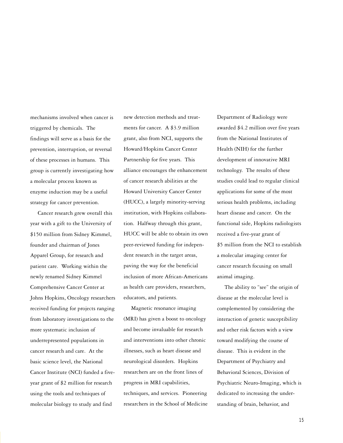mechanisms involved when cancer is triggered by chemicals. The findings will serve as a basis for the prevention, interruption, or reversal of these processes in humans. This group is currently investigating how a molecular process known as enzyme induction may be a useful strategy for cancer prevention.

 Cancer research grew overall this year with a gift to the University of \$150 million from Sidney Kimmel, founder and chairman of Jones Apparel Group, for research and patient care. Working within the newly renamed Sidney Kimmel Comprehensive Cancer Center at Johns Hopkins, Oncology researchers received funding for projects ranging from laboratory investigations to the more systematic inclusion of underrepresented populations in cancer research and care. At the basic science level, the National Cancer Institute (NCI) funded a fiveyear grant of \$2 million for research using the tools and techniques of molecular biology to study and find

new detection methods and treatments for cancer. A \$3.9 million grant, also from NCI, supports the Howard/Hopkins Cancer Center Partnership for five years. This alliance encourages the enhancement of cancer research abilities at the Howard University Cancer Center (HUCC), a largely minority-serving institution, with Hopkins collaboration. Halfway through this grant, HUCC will be able to obtain its own peer-reviewed funding for independent research in the target areas, paving the way for the beneficial inclusion of more African-Americans as health care providers, researchers, educators, and patients.

 Magnetic resonance imaging (MRI) has given a boost to oncology and become invaluable for research and interventions into other chronic illnesses, such as heart disease and neurological disorders. Hopkins researchers are on the front lines of progress in MRI capabilities, techniques, and services. Pioneering researchers in the School of Medicine Department of Radiology were awarded \$4.2 million over five years from the National Institutes of Health (NIH) for the further development of innovative MRI technology. The results of these studies could lead to regular clinical applications for some of the most serious health problems, including heart disease and cancer. On the functional side, Hopkins radiologists received a five-year grant of \$5 million from the NCI to establish a molecular imaging center for cancer research focusing on small animal imaging.

 The ability to "see" the origin of disease at the molecular level is complemented by considering the interaction of genetic susceptibility and other risk factors with a view toward modifying the course of disease. This is evident in the Department of Psychiatry and Behavioral Sciences, Division of Psychiatric Neuro-Imaging, which is dedicated to increasing the understanding of brain, behavior, and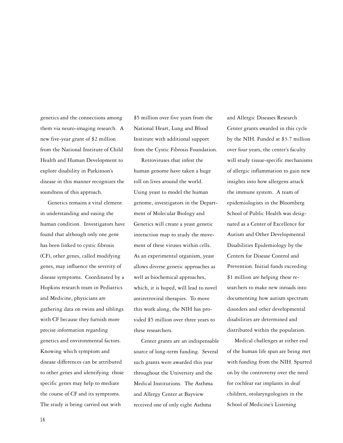genetics and the connections among them via neuro-imaging research. A new five-year grant of \$2 million from the National Institute of Child Health and Human Development to explore disability in Parkinson's disease in this manner recognizes the soundness of this approach.

 Genetics remains a vital element in understanding and easing the human condition. Investigators have found that although only one gene has been linked to cystic fibrosis (CF), other genes, called modifying genes, may influence the severity of disease symptoms. Coordinated by a Hopkins research team in Pediatrics and Medicine, physicians are gathering data on twins and siblings with CF because they furnish more precise information regarding genetics and environmental factors. Knowing which symptom and disease differences can be attributed to other genes and identifying those specific genes may help to mediate the course of CF and its symptoms. The study is being carried out with

\$5 million over five years from the National Heart, Lung and Blood Institute with additional support from the Cystic Fibrosis Foundation.

 Retroviruses that infest the human genome have taken a huge toll on lives around the world. Using yeast to model the human genome, investigators in the Department of Molecular Biology and Genetics will create a yeast genetic interaction map to study the movement of these viruses within cells. As an experimental organism, yeast allows diverse genetic approaches as well as biochemical approaches, which, it is hoped, will lead to novel antiretroviral therapies. To move this work along, the NIH has provided \$5 million over three years to these researchers.

 Center grants are an indispensable source of long-term funding. Several such grants were awarded this year throughout the University and the Medical Institutions. The Asthma and Allergy Center at Bayview received one of only eight Asthma

and Allergic Diseases Research Center grants awarded in this cycle by the NIH. Funded at \$3.7 million over four years, the center's faculty will study tissue-specific mechanisms of allergic inflammation to gain new insights into how allergens attack the immune system. A team of epidemiologists in the Bloomberg School of Public Health was designated as a Center of Excellence for Autism and Other Developmental Disabilities Epidemiology by the Centers for Disease Control and Prevention. Initial funds exceeding \$1 million are helping these researchers to make new inroads into documenting how autism spectrum disorders and other developmental disabilities are determined and distributed within the population.

 Medical challenges at either end of the human life span are being met with funding from the NIH. Spurred on by the controversy over the need for cochlear ear implants in deaf children, otolaryngologists in the School of Medicine's Listening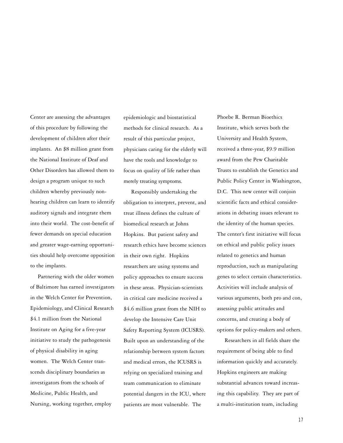Center are assessing the advantages of this procedure by following the development of children after their implants. An \$8 million grant from the National Institute of Deaf and Other Disorders has allowed them to design a program unique to such children whereby previously nonhearing children can learn to identify auditory signals and integrate them into their world. The cost-benefit of fewer demands on special education and greater wage-earning opportunities should help overcome opposition to the implants.

 Partnering with the older women of Baltimore has earned investigators in the Welch Center for Prevention, Epidemiology, and Clinical Research \$4.1 million from the National Institute on Aging for a five-year initiative to study the pathogenesis of physical disability in aging women. The Welch Center transcends disciplinary boundaries as investigators from the schools of Medicine, Public Health, and Nursing, working together, employ

epidemiologic and biostatistical methods for clinical research. As a result of this particular project, physicians caring for the elderly will have the tools and knowledge to focus on quality of life rather than merely treating symptoms.

 Responsibly undertaking the obligation to interpret, prevent, and treat illness defines the culture of biomedical research at Johns Hopkins. But patient safety and research ethics have become sciences in their own right. Hopkins researchers are using systems and policy approaches to ensure success in these areas. Physician-scientists in critical care medicine received a \$4.6 million grant from the NIH to develop the Intensive Care Unit Safety Reporting System (ICUSRS). Built upon an understanding of the relationship between system factors and medical errors, the ICUSRS is relying on specialized training and team communication to eliminate potential dangers in the ICU, where patients are most vulnerable. The

Phoebe R. Berman Bioethics Institute, which serves both the University and Health System, received a three-year, \$9.9 million award from the Pew Charitable Trusts to establish the Genetics and Public Policy Center in Washington, D.C. This new center will conjoin scientific facts and ethical considerations in debating issues relevant to the identity of the human species. The center's first initiative will focus on ethical and public policy issues related to genetics and human reproduction, such as manipulating genes to select certain characteristics. Activities will include analysis of various arguments, both pro and con, assessing public attitudes and concerns, and creating a body of options for policy-makers and others.

 Researchers in all fields share the requirement of being able to find information quickly and accurately. Hopkins engineers are making substantial advances toward increasing this capability. They are part of a multi-institution team, including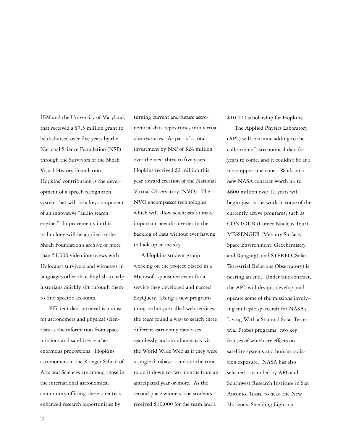IBM and the University of Maryland, that received a \$7.5 million grant to be disbursed over five years by the National Science Foundation (NSF) through the Survivors of the Shoah Visual History Foundation. Hopkins' contribution is the development of a speech recognition system that will be a key component of an innovative "audio search engine." Improvements in this technology will be applied to the Shoah Foundation's archive of more than 51,000 video interviews with Holocaust survivors and witnesses in languages other than English to help historians quickly sift through them to find specific accounts.

 Efficient data retrieval is a must for astronomers and physical scientists as the information from space missions and satellites reaches enormous proportions. Hopkins astronomers in the Krieger School of Arts and Sciences are among those in the international astronomical community offering these scientists enhanced research opportunities by

turning current and future astronomical data repositories into virtual observatories. As part of a total investment by NSF of \$24 million over the next three to five years, Hopkins received \$2 million this year toward creation of the National Virtual Observatory (NVO). The NVO encompasses technologies which will allow scientists to make important new discoveries in the backlog of data without ever having to look up at the sky.

 A Hopkins student group working on the project placed in a Microsoft-sponsored event for a service they developed and named SkyQuery. Using a new programming technique called web services, the team found a way to search three different astronomy databases seamlessly and simultaneously via the World Wide Web as if they were a single database—and cut the time to do it down to two months from an anticipated year or more. As the second place winners, the students received \$10,000 for the team and a

\$10,000 scholarship for Hopkins.

 The Applied Physics Laboratory (APL) will continue adding to the collection of astronomical data for years to come, and it couldn't be at a more opportune time. Work on a new NASA contract worth up to \$600 million over 12 years will begin just as the work in some of the currently active programs, such as CONTOUR (Comet Nucleus Tour), MESSENGER (Mercury Surface, Space Environment, Geochemistry and Ranging), and STEREO (Solar Terrestrial Relations Observatory) is nearing an end. Under this contract, the APL will design, develop, and operate some of the missions involving multiple spacecraft for NASA's Living With a Star and Solar Terrestrial Probes programs, two key focuses of which are effects on satellite systems and human radiation exposure. NASA has also selected a team led by APL and Southwest Research Institute in San Antonio, Texas, to head the New Horizons: Shedding Light on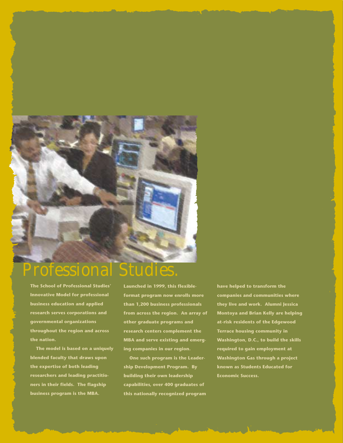

# Professional Studies.

**The School of Professional Studies' Innovative Model for professional business education and applied research serves corporations and governmental organizations throughout the region and across the nation.**

 **The model is based on a uniquely blended faculty that draws upon the expertise of both leading researchers and leading practitioners in their fields. The flagship business program is the MBA.**

**Launched in 1999, this flexibleformat program now enrolls more than 1,200 business professionals from across the region. An array of other graduate programs and research centers complement the MBA and serve existing and emerging companies in our region.**

 **One such program is the Leadership Development Program. By building their own leadership capabilities, over 400 graduates of this nationally recognized program** **have helped to transform the companies and communities where they live and work. Alumni Jessica Montoya and Brian Kelly are helping at-risk residents of the Edgewood Terrace housing community in Washington, D.C., to build the skills required to gain employment at Washington Gas through a project known as Students Educated for Economic Success.**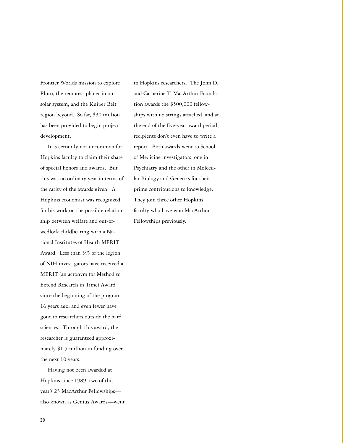Frontier Worlds mission to explore Pluto, the remotest planet in our solar system, and the Kuiper Belt region beyond. So far, \$30 million has been provided to begin project development.

 It is certainly not uncommon for Hopkins faculty to claim their share of special honors and awards. But this was no ordinary year in terms of the rarity of the awards given. A Hopkins economist was recognized for his work on the possible relationship between welfare and out-ofwedlock childbearing with a National Institutes of Health MERIT Award. Less than 5% of the legion of NIH investigators have received a MERIT (an acronym for Method to Extend Research in Time) Award since the beginning of the program 16 years ago, and even fewer have gone to researchers outside the hard sciences. Through this award, the researcher is guaranteed approximately \$1.5 million in funding over the next 10 years.

 Having not been awarded at Hopkins since 1989, two of this year's 23 MacArthur Fellowships also known as Genius Awards—went to Hopkins researchers. The John D. and Catherine T. MacArthur Foundation awards the \$500,000 fellowships with no strings attached, and at the end of the five-year award period, recipients don't even have to write a report. Both awards went to School of Medicine investigators, one in Psychiatry and the other in Molecular Biology and Genetics for their prime contributions to knowledge. They join three other Hopkins faculty who have won MacArthur Fellowships previously.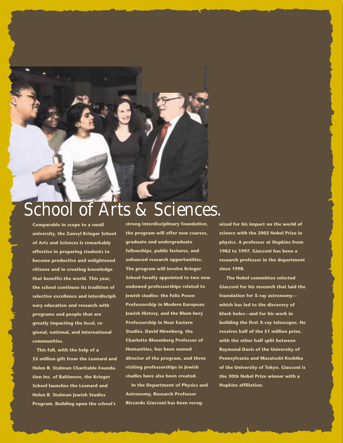# School of Arts & Sciences.

**Comparable in scope to a small university, the Zanvyl Krieger School of Arts and Sciences is remarkably effective in preparing students to become productive and enlightened citizens and in creating knowledge that benefits the world. This year, the school continues its tradition of selective excellence and interdisciplinary education and research with programs and people that are greatly impacting the local, regional, national, and international communities.**

 **This fall, with the help of a \$5 million gift from the Leonard and Helen R. Stulman Charitable Foundation Inc. of Baltimore, the Krieger School launches the Leonard and Helen R. Stulman Jewish Studies Program. Building upon the school's**

**strong interdisciplinary foundation, the program will offer new courses, graduate and undergraduate fellowships, public lectures, and enhanced research opportunities. The program will involve Krieger School faculty appointed to two new endowed professorships related to Jewish studies: the Felix Posen Professorship in Modern European Jewish History, and the Blum-Iwry Professorship in Near Eastern Studies. David Nirenberg, the Charlotte Bloomberg Professor of Humanities, has been named director of the program, and three visiting professorships in Jewish studies have also been created.**

 **In the Department of Physics and Astronomy, Research Professor Riccardo Giacconi has been recog-** **nized for his impact on the world of science with the 2002 Nobel Prize in physics. A professor at Hopkins from 1982 to 1997, Giacconi has been a research professor in the department since 1998.**

 **The Nobel committee selected Giacconi for his research that laid the foundation for X-ray astronomy which has led to the discovery of black holes—and for his work in building the first X-ray telescopes. He receives half of the \$1 million prize, with the other half split between Raymond Davis of the University of Pennsylvania and Masatoshi Koshiba of the University of Tokyo. Giacconi is the 30th Nobel Prize winner with a Hopkins affiliation.**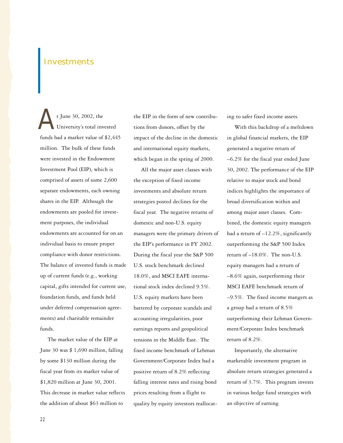# **Investments**

 t June 30, 2002, the University's total invested funds had a market value of \$2,445 million. The bulk of these funds were invested in the Endowment Investment Pool (EIP), which is comprised of assets of some 2,600 separate endowments, each owning shares in the EIP. Although the endowments are pooled for investment purposes, the individual endowments are accounted for on an individual basis to ensure proper compliance with donor restrictions. The balance of invested funds is made up of current funds (e.g., working capital, gifts intended for current use, foundation funds, and funds held under deferred compensation agreements) and charitable remainder funds. A

 The market value of the EIP at June 30 was \$ 1,690 million, falling by some \$130 million during the fiscal year from its market value of \$1,820 million at June 30, 2001. This decrease in market value reflects the addition of about \$63 million to

the EIP in the form of new contributions from donors, offset by the impact of the decline in the domestic and international equity markets, which began in the spring of 2000.

 All the major asset classes with the exception of fixed income investments and absolute return strategies posted declines for the fiscal year. The negative returns of domestic and non-U.S. equity managers were the primary drivers of the EIP's performance in FY 2002. During the fiscal year the S&P 500 U.S. stock benchmark declined 18.0%, and MSCI EAFE international stock index declined 9.5%. U.S. equity markets have been battered by corporate scandals and accounting irregularities, poor earnings reports and geopolitical tensions in the Middle East. The fixed income benchmark of Lehman Government/Corporate Index had a positive return of 8.2% reflecting falling interest rates and rising bond prices resulting from a flight to quality by equity investors reallocating to safer fixed income assets.

 With this backdrop of a meltdown in global financial markets, the EIP generated a negative return of –6.2% for the fiscal year ended June 30, 2002. The performance of the EIP relative to major stock and bond indices highlights the importance of broad diversification within and among major asset classes. Combined, the domestic equity managers had a return of –12.2%, significantly outperforming the S&P 500 Index return of –18.0%. The non-U.S. equity managers had a return of –8.6% again, outperforming their MSCI EAFE benchmark return of –9.5%. The fixed income mangers as a group had a return of 8.5% outperforming their Lehman Government/Corporate Index benchmark return of 8.2%.

 Importantly, the alternative marketable investment program in absolute return strategies generated a return of 3.7%. This program invests in various hedge fund strategies with an objective of earning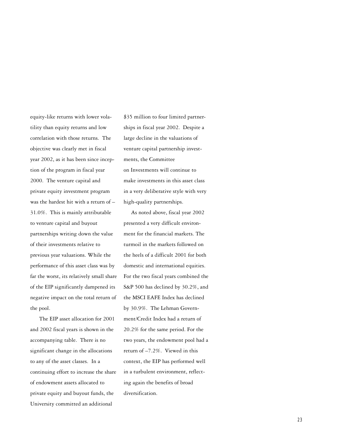equity-like returns with lower volatility than equity returns and low correlation with those returns. The objective was clearly met in fiscal year 2002, as it has been since inception of the program in fiscal year 2000. The venture capital and private equity investment program was the hardest hit with a return of – 31.0%. This is mainly attributable to venture capital and buyout partnerships writing down the value of their investments relative to previous year valuations. While the performance of this asset class was by far the worst, its relatively small share of the EIP significantly dampened its negative impact on the total return of the pool.

 The EIP asset allocation for 2001 and 2002 fiscal years is shown in the accompanying table. There is no significant change in the allocations to any of the asset classes. In a continuing effort to increase the share of endowment assets allocated to private equity and buyout funds, the University committed an additional

\$35 million to four limited partnerships in fiscal year 2002. Despite a large decline in the valuations of venture capital partnership investments, the Committee on Investments will continue to make investments in this asset class in a very deliberative style with very high-quality partnerships.

 As noted above, fiscal year 2002 presented a very difficult environment for the financial markets. The turmoil in the markets followed on the heels of a difficult 2001 for both domestic and international equities. For the two fiscal years combined the S&P 500 has declined by 30.2%, and the MSCI EAFE Index has declined by 30.9%. The Lehman Government/Credit Index had a return of 20.2% for the same period. For the two years, the endowment pool had a return of –7.2%. Viewed in this context, the EIP has performed well in a turbulent environment, reflecting again the benefits of broad diversification.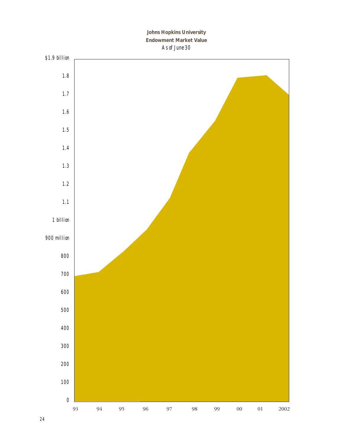### **Johns Hopkins University Endowment Market Value** *As of June 30*

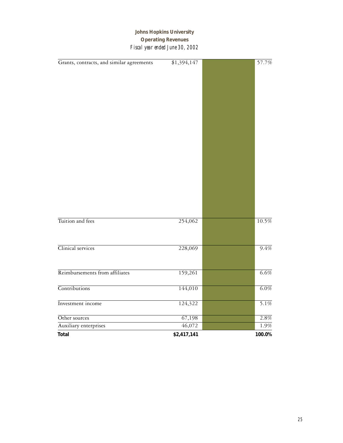## **Johns Hopkins University Operating Revenues** *Fiscal year ended June 30, 2002*

| Grants, contracts, and similar agreements | \$1,394,147 | 57.7%   |
|-------------------------------------------|-------------|---------|
|                                           |             |         |
|                                           |             |         |
|                                           |             |         |
|                                           |             |         |
|                                           |             |         |
|                                           |             |         |
|                                           |             |         |
|                                           |             |         |
|                                           |             |         |
|                                           |             |         |
|                                           |             |         |
|                                           |             |         |
|                                           |             |         |
|                                           |             |         |
|                                           |             |         |
|                                           |             |         |
|                                           |             |         |
|                                           |             |         |
|                                           |             |         |
| Tuition and fees                          | 254,062     | 10.5%   |
|                                           |             |         |
|                                           |             |         |
| Clinical services                         | 228,069     | 9.4%    |
|                                           |             |         |
|                                           |             |         |
| Reimbursements from affiliates            | 159,261     | 6.6%    |
|                                           |             |         |
| Contributions                             | 144,010     | 6.0%    |
|                                           |             |         |
| Investment income                         | 124,322     | 5.1%    |
|                                           |             |         |
| Other sources                             | 67,198      | 2.8%    |
| Auxiliary enterprises                     | 46,072      | $1.9\%$ |
| <b>Total</b>                              | \$2,417,141 | 100.0%  |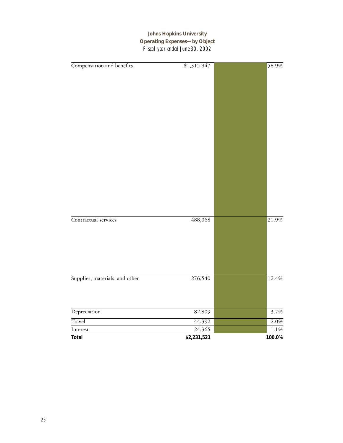## **Johns Hopkins University Operating Expenses—by Object** *Fiscal year ended June 30, 2002*

| Compensation and benefits      | \$1,315,347 | 58.9%              |
|--------------------------------|-------------|--------------------|
|                                |             |                    |
|                                |             |                    |
|                                |             |                    |
|                                |             |                    |
|                                |             |                    |
|                                |             |                    |
|                                |             |                    |
|                                |             |                    |
|                                |             |                    |
|                                |             |                    |
|                                |             |                    |
|                                |             |                    |
|                                |             |                    |
|                                |             |                    |
|                                |             |                    |
|                                |             |                    |
|                                |             |                    |
|                                |             |                    |
| Contractual services           | 488,068     | 21.9%              |
|                                |             |                    |
|                                |             |                    |
|                                |             |                    |
|                                |             |                    |
|                                |             |                    |
|                                |             |                    |
|                                |             |                    |
| Supplies, materials, and other | 276,540     | $12.4\%$           |
|                                |             |                    |
|                                |             |                    |
| Depreciation                   | 82,809      | 3.7%               |
|                                |             |                    |
| Travel                         | 44,392      | $\overline{2.0\%}$ |
| $\operatorname{Interest}$      | 24,365      | $1.1\%$            |
| Total                          | \$2,231,521 | 100.0%             |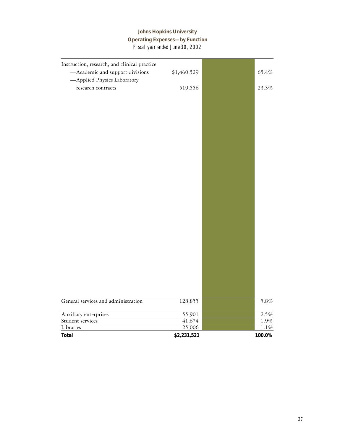# **Johns Hopkins University Operating Expenses—by Function** *Fiscal year ended June 30, 2002*

| Instruction, research, and clinical practice<br>-Academic and support divisions<br>-Applied Physics Laboratory | \$1,460,529           | 65.4%             |
|----------------------------------------------------------------------------------------------------------------|-----------------------|-------------------|
| research contracts                                                                                             | 519,556               | 23.3%             |
|                                                                                                                |                       |                   |
|                                                                                                                |                       |                   |
|                                                                                                                |                       |                   |
|                                                                                                                |                       |                   |
|                                                                                                                |                       |                   |
|                                                                                                                |                       |                   |
|                                                                                                                |                       |                   |
|                                                                                                                |                       |                   |
|                                                                                                                |                       |                   |
|                                                                                                                |                       |                   |
|                                                                                                                |                       |                   |
|                                                                                                                |                       |                   |
|                                                                                                                |                       |                   |
|                                                                                                                |                       |                   |
|                                                                                                                |                       |                   |
|                                                                                                                |                       |                   |
|                                                                                                                |                       |                   |
|                                                                                                                |                       |                   |
|                                                                                                                |                       |                   |
|                                                                                                                |                       |                   |
|                                                                                                                |                       |                   |
|                                                                                                                |                       |                   |
|                                                                                                                |                       |                   |
| General services and administration                                                                            |                       | 5.8%              |
|                                                                                                                | 128,855               |                   |
| Auxiliary enterprises                                                                                          | 55,901                | 2.5%              |
| Student services<br>Libraries                                                                                  | 41,674                | $1.9\%$           |
| <b>Total</b>                                                                                                   | 25,006<br>\$2,231,521 | $1.1\%$<br>100.0% |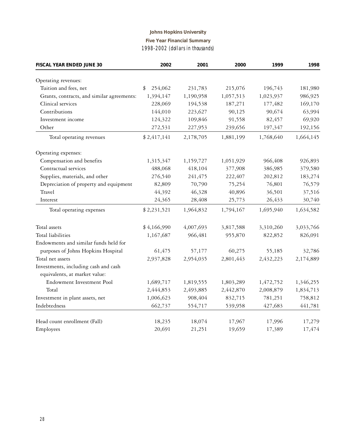## **Johns Hopkins University Five Year Financial Summary** *1998-2002 (dollars in thousands)*

| <b>FISCAL YEAR ENDED JUNE 30</b>                                      | 2002          | 2001      | 2000      | 1999      | 1998      |
|-----------------------------------------------------------------------|---------------|-----------|-----------|-----------|-----------|
| Operating revenues:                                                   |               |           |           |           |           |
| Tuition and fees, net                                                 | \$<br>254,062 | 231,783   | 215,076   | 196,743   | 181,980   |
| Grants, contracts, and similar agreements:                            | 1,394,147     | 1,190,958 | 1,057,513 | 1,023,937 | 986,925   |
| Clinical services                                                     | 228,069       | 194,538   | 187,271   | 177,482   | 169,170   |
| Contributions                                                         | 144,010       | 223,627   | 90,125    | 90,674    | 63,994    |
| Investment income                                                     | 124,322       | 109,846   | 91,558    | 82,457    | 69,920    |
| Other                                                                 | 272,531       | 227,953   | 239,656   | 197,347   | 192,156   |
| Total operating revenues                                              | \$2,417,141   | 2,178,705 | 1,881,199 | 1,768,640 | 1,664,145 |
| Operating expenses:                                                   |               |           |           |           |           |
| Compensation and benefits                                             | 1,315,347     | 1,159,727 | 1,051,929 | 966,408   | 926,893   |
| Contractual services                                                  | 488,068       | 418,104   | 377,908   | 386,985   | 379,580   |
| Supplies, materials, and other                                        | 276,540       | 241,475   | 222,407   | 202,812   | 183,274   |
| Depreciation of property and equipment                                | 82,809        | 70,790    | 75,254    | 76,801    | 76,579    |
| Travel                                                                | 44,392        | 46,328    | 40,896    | 36,501    | 37,516    |
| Interest                                                              | 24,365        | 28,408    | 25,773    | 26,433    | 30,740    |
| Total operating expenses                                              | \$2,231,521   | 1,964,832 | 1,794,167 | 1,695,940 | 1,634,582 |
| Total assets                                                          | \$4,166,990   | 4,007,693 | 3,817,588 | 3,310,260 | 3,033,766 |
| Total liabilities                                                     | 1,167,687     | 966,481   | 955,870   | 822,852   | 826,091   |
| Endowments and similar funds held for                                 |               |           |           |           |           |
| purposes of Johns Hopkins Hospital                                    | 61,475        | 57,177    | 60,275    | 55,185    | 32,786    |
| Total net assets                                                      | 2,937,828     | 2,954,035 | 2,801,443 | 2,432,223 | 2,174,889 |
| Investments, including cash and cash<br>equivalents, at market value: |               |           |           |           |           |
| Endowment Investment Pool                                             | 1,689,717     | 1,819,555 | 1,803,289 | 1,472,752 | 1,346,255 |
| Total                                                                 | 2,444,853     | 2,493,885 | 2,442,870 | 2,008,879 | 1,834,713 |
| Investment in plant assets, net                                       | 1,006,623     | 908,404   | 832,715   | 781,251   | 758,812   |
| Indebtedness                                                          | 662,737       | 554,717   | 539,958   | 427,683   | 441,781   |
| Head count enrollment (Fall)                                          | 18,235        | 18,074    | 17,967    | 17,996    | 17,279    |
| Employees                                                             | 20,691        | 21,251    | 19,659    | 17,389    | 17,474    |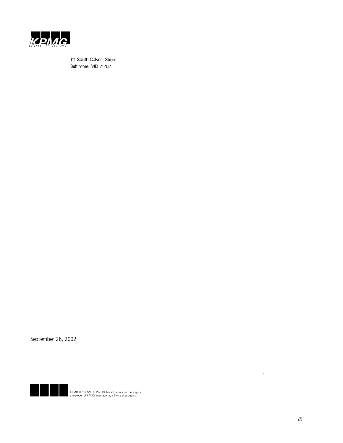

111 South Calvert Street Baltimore, MD 21202

 $\bar{z}$ 

September 26, 2002



KPMG LLP, KPMG LLP, a U.S. limited liability partnership, is<br>a member of KPMG International, a Swiss association.

 $\Delta \phi$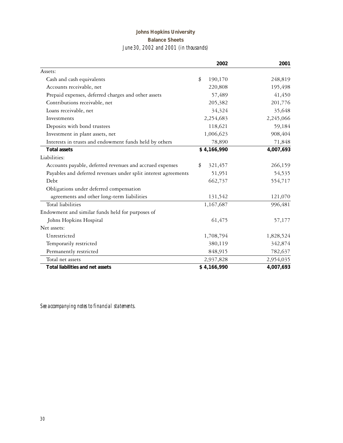## **Johns Hopkins University Balance Sheets** *June 30, 2002 and 2001 (in thousands)*

|                                                                | 2002          | 2001      |
|----------------------------------------------------------------|---------------|-----------|
| Assets:                                                        |               |           |
| Cash and cash equivalents                                      | \$<br>190,170 | 248,819   |
| Accounts receivable, net                                       | 220,808       | 195,498   |
| Prepaid expenses, deferred charges and other assets            | 57,489        | 41,450    |
| Contributions receivable, net                                  | 205,382       | 201,776   |
| Loans receivable, net                                          | 34,324        | 35,648    |
| Investments                                                    | 2,254,683     | 2,245,066 |
| Deposits with bond trustees                                    | 118,621       | 59,184    |
| Investment in plant assets, net                                | 1,006,623     | 908,404   |
| Interests in trusts and endowment funds held by others         | 78,890        | 71,848    |
| <b>Total assets</b>                                            | \$4,166,990   | 4,007,693 |
| Liabilities:                                                   |               |           |
| Accounts payable, deferred revenues and accrued expenses       | 321,457<br>\$ | 266,159   |
| Payables and deferred revenues under split interest agreements | 51,951        | 54,535    |
| Debt                                                           | 662,737       | 554,717   |
| Obligations under deferred compensation                        |               |           |
| agreements and other long-term liabilities                     | 131,542       | 121,070   |
| Total liabilities                                              | 1,167,687     | 996,481   |
| Endowment and similar funds held for purposes of               |               |           |
| Johns Hopkins Hospital                                         | 61,475        | 57,177    |
| Net assets:                                                    |               |           |
| Unrestricted                                                   | 1,708,794     | 1,828,524 |
| Temporarily restricted                                         | 380,119       | 342,874   |
| Permanently restricted                                         | 848,915       | 782,637   |
| Total net assets                                               | 2,937,828     | 2,954,035 |
| <b>Total liabilities and net assets</b>                        | \$4,166,990   | 4,007,693 |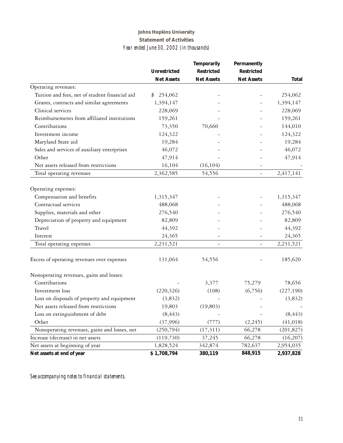## **Johns Hopkins University Statement of Activities** *Year ended June 30, 2002 (in thousands)*

|                                                |                     | <b>Temporarily</b> | Permanently              |              |
|------------------------------------------------|---------------------|--------------------|--------------------------|--------------|
|                                                | <b>Unrestricted</b> | <b>Restricted</b>  | <b>Restricted</b>        |              |
|                                                | <b>Net Assets</b>   | <b>Net Assets</b>  | <b>Net Assets</b>        | <b>Total</b> |
| Operating revenues:                            |                     |                    |                          |              |
| Tuition and fees, net of student financial aid | 254,062<br>\$       |                    |                          | 254,062      |
| Grants, contracts and similar agreements       | 1,394,147           |                    |                          | 1,394,147    |
| Clinical services                              | 228,069             |                    |                          | 228,069      |
| Reimbursements from affiliated institutions    | 159,261             |                    |                          | 159,261      |
| Contributions                                  | 73,350              | 70,660             |                          | 144,010      |
| Investment income                              | 124,322             |                    |                          | 124,322      |
| Maryland State aid                             | 19,284              |                    |                          | 19,284       |
| Sales and services of auxiliary enterprises    | 46,072              |                    |                          | 46,072       |
| Other                                          | 47,914              |                    |                          | 47,914       |
| Net assets released from restrictions          | 16,104              | (16, 104)          |                          |              |
| Total operating revenues                       | 2,362,585           | 54,556             | $\overline{\phantom{a}}$ | 2,417,141    |
| Operating expenses:                            |                     |                    |                          |              |
| Compensation and benefits                      | 1,315,347           |                    |                          | 1,315,347    |
| Contractual services                           | 488,068             |                    |                          | 488,068      |
| Supplies, materials and other                  | 276,540             |                    |                          | 276,540      |
| Depreciation of property and equipment         | 82,809              |                    |                          | 82,809       |
| Travel                                         | 44,392              |                    |                          | 44,392       |
| Interest                                       | 24,365              |                    |                          | 24,365       |
| Total operating expenses                       | 2,231,521           | $\overline{a}$     | $\overline{\phantom{a}}$ | 2,231,521    |
| Excess of operating revenues over expenses     | 131,064             | 54,556             |                          | 185,620      |
| Nonoperating revenues, gains and losses:       |                     |                    |                          |              |
| Contributions                                  |                     | 3,377              | 75,279                   | 78,656       |
| Investment loss                                | (220, 326)          | (108)              | (6,756)                  | (227, 190)   |
| Loss on disposals of property and equipment    | (3,832)             |                    |                          | (3,832)      |
| Net assets released from restrictions          | 19,803              | (19, 803)          |                          |              |
| Loss on extinguishment of debt                 | (8, 443)            |                    |                          | (8, 443)     |
| Other                                          | (37,996)            | (777)              | (2,245)                  | (41, 018)    |
| Nonoperating revenues, gains and losses, net   | (250, 794)          | (17, 311)          | 66,278                   | (201, 827)   |
| Increase (decrease) in net assets              | (119,730)           | 37,245             | 66,278                   | (16,207)     |
| Net assets at beginning of year                | 1,828,524           | 342,874            | 782,637                  | 2,954,035    |
| Net assets at end of year                      | \$1,708,794         | 380,119            | 848,915                  | 2,937,828    |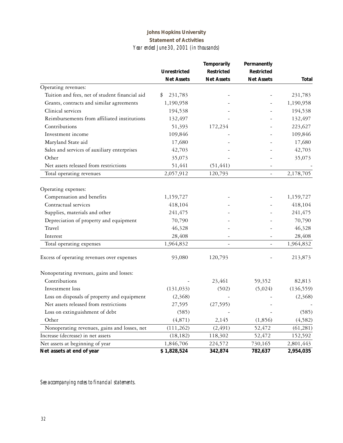### **Johns Hopkins University Statement of Activities** *Year ended June 30, 2001 (in thousands)*

|                                                |                     | <b>Temporarily</b> | Permanently       |              |
|------------------------------------------------|---------------------|--------------------|-------------------|--------------|
|                                                | <b>Unrestricted</b> | <b>Restricted</b>  | <b>Restricted</b> |              |
|                                                | <b>Net Assets</b>   | <b>Net Assets</b>  | <b>Net Assets</b> | <b>Total</b> |
| Operating revenues:                            |                     |                    |                   |              |
| Tuition and fees, net of student financial aid | 231,783<br>\$       |                    |                   | 231,783      |
| Grants, contracts and similar agreements       | 1,190,958           |                    |                   | 1,190,958    |
| Clinical services                              | 194,538             |                    |                   | 194,538      |
| Reimbursements from affiliated institutions    | 132,497             |                    |                   | 132,497      |
| Contributions                                  | 51,393              | 172,234            |                   | 223,627      |
| Investment income                              | 109,846             |                    |                   | 109,846      |
| Maryland State aid                             | 17,680              |                    |                   | 17,680       |
| Sales and services of auxiliary enterprises    | 42,703              |                    |                   | 42,703       |
| Other                                          | 35,073              |                    |                   | 35,073       |
| Net assets released from restrictions          | 51,441              | (51, 441)          |                   |              |
| Total operating revenues                       | 2,057,912           | 120,793            | $\overline{a}$    | 2,178,705    |
| Operating expenses:                            |                     |                    |                   |              |
| Compensation and benefits                      | 1,159,727           |                    |                   | 1,159,727    |
| Contractual services                           | 418,104             |                    |                   | 418,104      |
| Supplies, materials and other                  | 241,475             |                    |                   | 241,475      |
| Depreciation of property and equipment         | 70,790              |                    |                   | 70,790       |
| Travel                                         | 46,328              |                    |                   | 46,328       |
| Interest                                       | 28,408              |                    | $\qquad \qquad -$ | 28,408       |
| Total operating expenses                       | 1,964,832           |                    | $\equiv$          | 1,964,832    |
| Excess of operating revenues over expenses     | 93,080              | 120,793            |                   | 213,873      |
| Nonoperating revenues, gains and losses:       |                     |                    |                   |              |
| Contributions                                  |                     | 23,461             | 59,352            | 82,813       |
| Investment loss                                | (131, 033)          | (502)              | (5,024)           | (136, 559)   |
| Loss on disposals of property and equipment    | (2,368)             |                    |                   | (2,368)      |
| Net assets released from restrictions          | 27,595              | (27, 595)          |                   |              |
| Loss on extinguishment of debt                 | (585)               |                    |                   | (585)        |
| Other                                          | (4,871)             | 2,145              | (1,856)           | (4, 582)     |
| Nonoperating revenues, gains and losses, net   | (111, 262)          | (2, 491)           | 52,472            | (61, 281)    |
| Increase (decrease) in net assets              | (18, 182)           | 118,302            | 52,472            | 152,592      |
| Net assets at beginning of year                | 1,846,706           | 224,572            | 730,165           | 2,801,443    |
| Net assets at end of year                      | \$1,828,524         | 342,874            | 782,637           | 2,954,035    |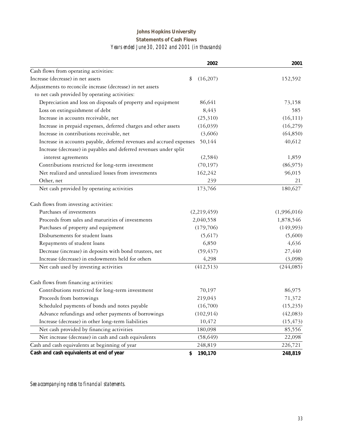## **Johns Hopkins University Statements of Cash Flows** *Years ended June 30, 2002 and 2001 (in thousands)*

|                                                                      | 2002           | 2001        |
|----------------------------------------------------------------------|----------------|-------------|
| Cash flows from operating activities:                                |                |             |
| Increase (decrease) in net assets                                    | (16,207)<br>\$ | 152,592     |
| Adjustments to reconcile increase (decrease) in net assets           |                |             |
| to net cash provided by operating activities:                        |                |             |
| Depreciation and loss on disposals of property and equipment         | 86,641         | 73,158      |
| Loss on extinguishment of debt                                       | 8,443          | 585         |
| Increase in accounts receivable, net                                 | (25,310)       | (16, 111)   |
| Increase in prepaid expenses, deferred charges and other assets      | (16,039)       | (16,279)    |
| Increase in contributions receivable, net                            | (3,606)        | (64, 850)   |
| Increase in accounts payable, deferred revenues and accrued expenses | 50,144         | 40,612      |
| Increase (decrease) in payables and deferred revenues under split    |                |             |
| interest agreements                                                  | (2,584)        | 1,859       |
| Contributions restricted for long-term investment                    | (70, 197)      | (86,975)    |
| Net realized and unrealized losses from investments                  | 162,242        | 96,015      |
| Other, net                                                           | 239            | 21          |
| Net cash provided by operating activities                            | 173,766        | 180,627     |
| Cash flows from investing activities:                                |                |             |
| Purchases of investments                                             | (2,219,459)    | (1,996,016) |
| Proceeds from sales and maturities of investments                    | 2,040,558      | 1,878,546   |
| Purchases of property and equipment                                  | (179,706)      | (149,993)   |
| Disbursements for student loans                                      | (5,617)        | (5,600)     |
| Repayments of student loans                                          | 6,850          | 4,636       |
| Decrease (increase) in deposits with bond trustees, net              | (59, 437)      | 27,440      |
| Increase (decrease) in endowments held for others                    | 4,298          | (3,098)     |
| Net cash used by investing activities                                | (412,513)      | (244,085)   |
| Cash flows from financing activities:                                |                |             |
| Contributions restricted for long-term investment                    | 70,197         | 86,975      |
| Proceeds from borrowings                                             | 219,043        | 71,372      |
| Scheduled payments of bonds and notes payable                        | (16,700)       | (15, 235)   |
| Advance refundings and other payments of borrowings                  | (102, 914)     | (42,083)    |
| Increase (decrease) in other long-term liabilities                   | 10,472         | (15, 473)   |
| Net cash provided by financing activities                            | 180,098        | 85,556      |
| Net increase (decrease) in cash and cash equivalents                 | (58, 649)      | 22,098      |
| Cash and cash equivalents at beginning of year                       | 248,819        | 226,721     |
| Cash and cash equivalents at end of year                             | 190,170<br>\$  | 248,819     |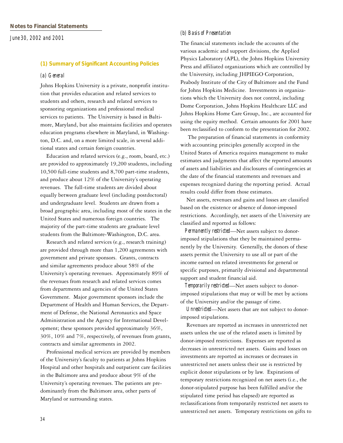#### **(1) Summary of Significant Accounting Policies**

#### *(a) General*

Johns Hopkins University is a private, nonprofit institution that provides education and related services to students and others, research and related services to sponsoring organizations and professional medical services to patients. The University is based in Baltimore, Maryland, but also maintains facilities and operates education programs elsewhere in Maryland, in Washington, D.C. and, on a more limited scale, in several additional states and certain foreign countries.

 Education and related services (e.g., room, board, etc.) are provided to approximately 19,200 students, including 10,500 full-time students and 8,700 part-time students, and produce about 12% of the University's operating revenues. The full-time students are divided about equally between graduate level (including postdoctoral) and undergraduate level. Students are drawn from a broad geographic area, including most of the states in the United States and numerous foreign countries. The majority of the part-time students are graduate level students from the Baltimore-Washington, D.C. area.

 Research and related services (e.g., research training) are provided through more than 1,200 agreements with government and private sponsors. Grants, contracts and similar agreements produce about 58% of the University's operating revenues. Approximately 89% of the revenues from research and related services comes from departments and agencies of the United States Government. Major government sponsors include the Department of Health and Human Services, the Department of Defense, the National Aeronautics and Space Administration and the Agency for International Development; these sponsors provided approximately 36%, 30%, 10% and 7%, respectively, of revenues from grants, contracts and similar agreements in 2002.

 Professional medical services are provided by members of the University's faculty to patients at Johns Hopkins Hospital and other hospitals and outpatient care facilities in the Baltimore area and produce about 9% of the University's operating revenues. The patients are predominantly from the Baltimore area, other parts of Maryland or surrounding states.

#### *(b) Basis of Presentation*

The financial statements include the accounts of the various academic and support divisions, the Applied Physics Laboratory (APL), the Johns Hopkins University Press and affiliated organizations which are controlled by the University, including JHPIEGO Corporation, Peabody Institute of the City of Baltimore and the Fund for Johns Hopkins Medicine. Investments in organizations which the University does not control, including Dome Corporation, Johns Hopkins Healthcare LLC and Johns Hopkins Home Care Group, Inc., are accounted for using the equity method. Certain amounts for 2001 have been reclassified to conform to the presentation for 2002.

 The preparation of financial statements in conformity with accounting principles generally accepted in the United States of America requires management to make estimates and judgments that affect the reported amounts of assets and liabilities and disclosures of contingencies at the date of the financial statements and revenues and expenses recognized during the reporting period. Actual results could differ from those estimates.

 Net assets, revenues and gains and losses are classified based on the existence or absence of donor-imposed restrictions. Accordingly, net assets of the University are classified and reported as follows:

 *Permanently restricted*—Net assets subject to donorimposed stipulations that they be maintained permanently by the University. Generally, the donors of these assets permit the University to use all or part of the income earned on related investments for general or specific purposes, primarily divisional and departmental support and student financial aid.

 *Temporarily restricted*—Net assets subject to donorimposed stipulations that may or will be met by actions of the University and/or the passage of time.

 *Unrestricted*—Net assets that are not subject to donorimposed stipulations.

 Revenues are reported as increases in unrestricted net assets unless the use of the related assets is limited by donor-imposed restrictions. Expenses are reported as decreases in unrestricted net assets. Gains and losses on investments are reported as increases or decreases in unrestricted net assets unless their use is restricted by explicit donor stipulations or by law. Expirations of temporary restrictions recognized on net assets (i.e., the donor-stipulated purpose has been fulfilled and/or the stipulated time period has elapsed) are reported as reclassifications from temporarily restricted net assets to unrestricted net assets. Temporary restrictions on gifts to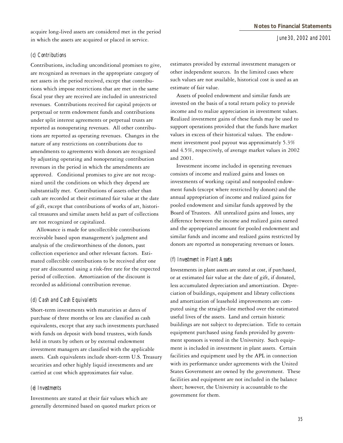acquire long-lived assets are considered met in the period in which the assets are acquired or placed in service.

#### *(c) Contributions*

Contributions, including unconditional promises to give, are recognized as revenues in the appropriate category of net assets in the period received, except that contributions which impose restrictions that are met in the same fiscal year they are received are included in unrestricted revenues. Contributions received for capital projects or perpetual or term endowment funds and contributions under split interest agreements or perpetual trusts are reported as nonoperating revenues. All other contributions are reported as operating revenues. Changes in the nature of any restrictions on contributions due to amendments to agreements with donors are recognized by adjusting operating and nonoperating contribution revenues in the period in which the amendments are approved. Conditional promises to give are not recognized until the conditions on which they depend are substantially met. Contributions of assets other than cash are recorded at their estimated fair value at the date of gift, except that contributions of works of art, historical treasures and similar assets held as part of collections are not recognized or capitalized.

 Allowance is made for uncollectible contributions receivable based upon management's judgment and analysis of the creditworthiness of the donors, past collection experience and other relevant factors. Estimated collectible contributions to be received after one year are discounted using a risk-free rate for the expected period of collection. Amortization of the discount is recorded as additional contribution revenue.

#### *(d) Cash and Cash Equivalents*

Short-term investments with maturities at dates of purchase of three months or less are classified as cash equivalents, except that any such investments purchased with funds on deposit with bond trustees, with funds held in trusts by others or by external endowment investment managers are classified with the applicable assets. Cash equivalents include short-term U.S. Treasury securities and other highly liquid investments and are carried at cost which approximates fair value.

#### *(e) Investments*

Investments are stated at their fair values which are generally determined based on quoted market prices or estimates provided by external investment managers or other independent sources. In the limited cases where such values are not available, historical cost is used as an estimate of fair value.

 Assets of pooled endowment and similar funds are invested on the basis of a total return policy to provide income and to realize appreciation in investment values. Realized investment gains of these funds may be used to support operations provided that the funds have market values in excess of their historical values. The endowment investment pool payout was approximately 5.3% and 4.5%, respectively, of average market values in 2002 and 2001.

 Investment income included in operating revenues consists of income and realized gains and losses on investments of working capital and nonpooled endowment funds (except where restricted by donors) and the annual appropriation of income and realized gains for pooled endowment and similar funds approved by the Board of Trustees. All unrealized gains and losses, any difference between the income and realized gains earned and the appropriated amount for pooled endowment and similar funds and income and realized gains restricted by donors are reported as nonoperating revenues or losses.

#### *(f) Investment in Plant Assets*

Investments in plant assets are stated at cost, if purchased, or at estimated fair value at the date of gift, if donated, less accumulated depreciation and amortization. Depreciation of buildings, equipment and library collections and amortization of leasehold improvements are computed using the straight-line method over the estimated useful lives of the assets. Land and certain historic buildings are not subject to depreciation. Title to certain equipment purchased using funds provided by government sponsors is vested in the University. Such equipment is included in investment in plant assets. Certain facilities and equipment used by the APL in connection with its performance under agreements with the United States Government are owned by the government. These facilities and equipment are not included in the balance sheet; however, the University is accountable to the government for them.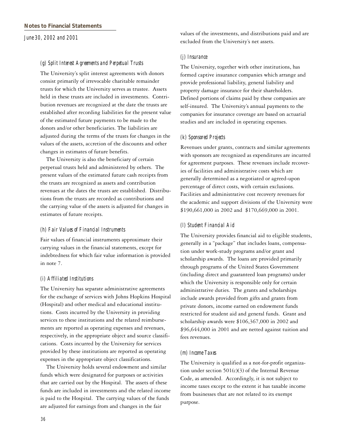#### *(g) Split Interest Agreements and Perpetual Trusts*

The University's split interest agreements with donors consist primarily of irrevocable charitable remainder trusts for which the University serves as trustee. Assets held in these trusts are included in investments. Contribution revenues are recognized at the date the trusts are established after recording liabilities for the present value of the estimated future payments to be made to the donors and/or other beneficiaries. The liabilities are adjusted during the terms of the trusts for changes in the values of the assets, accretion of the discounts and other changes in estimates of future benefits.

 The University is also the beneficiary of certain perpetual trusts held and administered by others. The present values of the estimated future cash receipts from the trusts are recognized as assets and contribution revenues at the dates the trusts are established. Distributions from the trusts are recorded as contributions and the carrying value of the assets is adjusted for changes in estimates of future receipts.

#### *(h) Fair Values of Financial Instruments*

Fair values of financial instruments approximate their carrying values in the financial statements, except for indebtedness for which fair value information is provided in note 7.

#### *(i) Affiliated Institutions*

The University has separate administrative agreements for the exchange of services with Johns Hopkins Hospital (Hospital) and other medical and educational institutions. Costs incurred by the University in providing services to these institutions and the related reimbursements are reported as operating expenses and revenues, respectively, in the appropriate object and source classifications. Costs incurred by the University for services provided by these institutions are reported as operating expenses in the appropriate object classifications.

 The University holds several endowment and similar funds which were designated for purposes or activities that are carried out by the Hospital. The assets of these funds are included in investments and the related income is paid to the Hospital. The carrying values of the funds are adjusted for earnings from and changes in the fair

values of the investments, and distributions paid and are excluded from the University's net assets.

#### *(j) Insurance*

The University, together with other institutions, has formed captive insurance companies which arrange and provide professional liability, general liability and property damage insurance for their shareholders. Defined portions of claims paid by these companies are self-insured. The University's annual payments to the companies for insurance coverage are based on actuarial studies and are included in operating expenses.

#### *(k) Sponsored Projects*

Revenues under grants, contracts and similar agreements with sponsors are recognized as expenditures are incurred for agreement purposes. These revenues include recoveries of facilities and administrative costs which are generally determined as a negotiated or agreed-upon percentage of direct costs, with certain exclusions. Facilities and administrative cost recovery revenues for the academic and support divisions of the University were \$190,661,000 in 2002 and \$170,669,000 in 2001.

#### *(l) Student Financial Aid*

The University provides financial aid to eligible students, generally in a "package" that includes loans, compensation under work-study programs and/or grant and scholarship awards. The loans are provided primarily through programs of the United States Government (including direct and guaranteed loan programs) under which the University is responsible only for certain administrative duties. The grants and scholarships include awards provided from gifts and grants from private donors, income earned on endowment funds restricted for student aid and general funds. Grant and scholarship awards were \$106,367,000 in 2002 and \$96,644,000 in 2001 and are netted against tuition and fees revenues.

#### *(m) Income Taxes*

The University is qualified as a not-for-profit organization under section  $501(c)(3)$  of the Internal Revenue Code, as amended. Accordingly, it is not subject to income taxes except to the extent it has taxable income from businesses that are not related to its exempt purpose.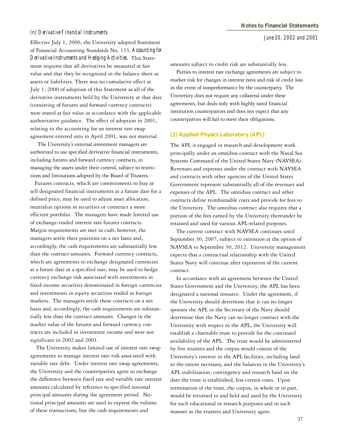#### *(n) Derivative Financial Instruments*

Effective July 1, 2000, the University adopted Statement of Financial Accounting Standards No. 133, *Accounting for Derivative Instruments and Hedging Activities*. This Statement requires that all derivatives be measured at fair value and that they be recognized in the balance sheet as assets or liabilities. There was no cumulative effect at July 1, 2000 of adoption of this Statement as all of the derivative instruments held by the University at that date (consisting of futures and forward currency contracts) were stated at fair value in accordance with the applicable authoritative guidance. The effect of adoption in 2001, relating to the accounting for an interest rate swap agreement entered into in April 2001, was not material.

 The University's external investment managers are authorized to use specified derivative financial instruments, including futures and forward currency contracts, in managing the assets under their control, subject to restrictions and limitations adopted by the Board of Trustees.

 Futures contracts, which are commitments to buy or sell designated financial instruments at a future date for a defined price, may be used to adjust asset allocation, neutralize options in securities or construct a more efficient portfolio. The managers have made limited use of exchange-traded interest rate futures contracts. Margin requirements are met in cash; however, the managers settle their positions on a net basis and, accordingly, the cash requirements are substantially less than the contract amounts. Forward currency contracts, which are agreements to exchange designated currencies at a future date at a specified rate, may be used to hedge currency exchange risk associated with investments in fixed-income securities denominated in foreign currencies and investments in equity securities traded in foreign markets. The managers settle these contracts on a net basis and, accordingly, the cash requirements are substantially less than the contract amounts. Changes in the market value of the futures and forward currency contracts are included in investment income and were not significant in 2002 and 2001.

 The University makes limited use of interest rate swap agreements to manage interest rate risk associated with variable rate debt. Under interest rate swap agreements, the University and the counterparties agree to exchange the difference between fixed rate and variable rate interest amounts calculated by reference to specified notional principal amounts during the agreement period. Notional principal amounts are used to express the volume of these transactions, but the cash requirements and

amounts subject to credit risk are substantially less.

 Parties to interest rate exchange agreements are subject to market risk for changes in interest rates and risk of credit loss in the event of nonperformance by the counterparty. The University does not require any collateral under these agreements, but deals only with highly rated financial institution counterparties and does not expect that any counterparties will fail to meet their obligations.

#### **(2) Applied Physics Laboratory (APL)**

The APL is engaged in research and development work principally under an omnibus contract with the Naval Sea Systems Command of the United States Navy (NAVSEA). Revenues and expenses under the contract with NAVSEA and contracts with other agencies of the United States Government represent substantially all of the revenues and expenses of the APL. The omnibus contract and other contracts define reimbursable costs and provide for fees to the University. The omnibus contract also requires that a portion of the fees earned by the University thereunder be retained and used for various APL-related purposes.

 The current contract with NAVSEA continues until September 30, 2007, subject to extension at the option of NAVSEA to September 30, 2012. University management expects that a contractual relationship with the United States Navy will continue after expiration of the current contract.

 In accordance with an agreement between the United States Government and the University, the APL has been designated a national resource. Under the agreement, if the University should determine that it can no longer sponsor the APL or the Secretary of the Navy should determine that the Navy can no longer contract with the University with respect to the APL, the University will establish a charitable trust to provide for the continued availability of the APL. The trust would be administered by five trustees and the corpus would consist of the University's interest in the APL facilities, including land to the extent necessary, and the balances in the University's APL stabilization, contingency and research fund on the date the trust is established, less certain costs. Upon termination of the trust, the corpus, in whole or in part, would be returned to and held and used by the University for such educational or research purposes and in such manner as the trustees and University agree.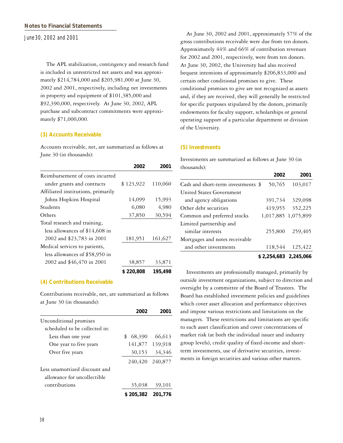The APL stabilization, contingency and research fund is included in unrestricted net assets and was approximately \$214,784,000 and \$205,981,000 at June 30, 2002 and 2001, respectively, including net investments in property and equipment of \$101,385,000 and \$92,390,000, respectively. At June 30, 2002, APL purchase and subcontract commitments were approximately \$71,000,000.

#### **(3) Accounts Receivable**

Accounts receivable, net, are summarized as follows at June 30 (in thousands):

|                                    | 2002      | 2001    |
|------------------------------------|-----------|---------|
| Reimbursement of costs incurred    |           |         |
| under grants and contracts         | \$123,922 | 110,060 |
| Affiliated institutions, primarily |           |         |
| Johns Hopkins Hospital             | 14,099    | 15,993  |
| Students                           | 6,080     | 4,980   |
| Others                             | 37,850    | 30,594  |
| Total research and training,       |           |         |
| less allowances of $$14,608$ in    |           |         |
| 2002 and \$23,783 in 2001          | 181,951   | 161,627 |
| Medical services to patients,      |           |         |
| less allowances of \$58,950 in     |           |         |
| 2002 and \$46,470 in 2001          | 38,857    | 33,871  |
|                                    | \$220,808 | 195,498 |

#### **(4) Contributions Receivable**

Contributions receivable, net, are summarized as follows at June 30 (in thousands):

|                               | 2002            | 2001            |
|-------------------------------|-----------------|-----------------|
| Unconditional promises        |                 |                 |
| scheduled to be collected in: |                 |                 |
| Less than one year            | 68,390<br>\$    | 66,613          |
| One year to five years        |                 | 141,877 139,918 |
| Over five years               | 30,153          | 34,346          |
|                               | 240,420 240,877 |                 |
| Less unamortized discount and |                 |                 |
| allowance for uncollectible   |                 |                 |
| contributions                 | 35,038          | 39,101          |
|                               | \$205,382       | 201.776         |

 At June 30, 2002 and 2001, approximately 57% of the gross contributions receivable were due from ten donors. Approximately 44% and 66% of contribution revenues for 2002 and 2001, respectively, were from ten donors. At June 30, 2002, the University had also received bequest intentions of approximately \$206,833,000 and certain other conditional promises to give. These conditional promises to give are not recognized as assets and, if they are received, they will generally be restricted for specific purposes stipulated by the donors, primarily endowments for faculty support, scholarships or general operating support of a particular department or division of the University.

#### **(5) Investments**

Investments are summarized as follows at June 30 (in thousands):

|                                    | 2002                  | 2001                |
|------------------------------------|-----------------------|---------------------|
| Cash and short-term investments \$ | 50,765                | 103,017             |
| United States Government           |                       |                     |
| and agency obligations             | 391,734               | 329,098             |
| Other debt securities              | 419,955               | 352,225             |
| Common and preferred stocks        |                       | 1,017,885 1,075,899 |
| Limited partnership and            |                       |                     |
| similar interests                  | 255,800               | 259,405             |
| Mortgages and notes receivable     |                       |                     |
| and other investments              | 118,544               | 125,422             |
|                                    | \$2,254,683 2,245,066 |                     |

 Investments are professionally managed, primarily by outside investment organizations, subject to direction and oversight by a committee of the Board of Trustees. The Board has established investment policies and guidelines which cover asset allocation and performance objectives and impose various restrictions and limitations on the managers. These restrictions and limitations are specific to each asset classification and cover concentrations of market risk (at both the individual issuer and industry group levels), credit quality of fixed-income and shortterm investments, use of derivative securities, investments in foreign securities and various other matters.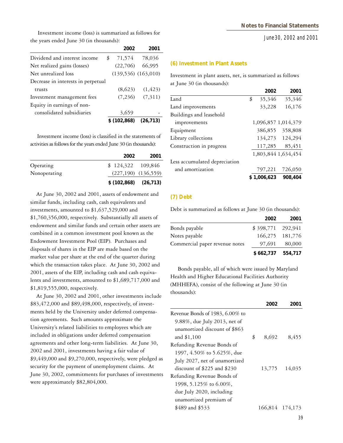Investment income (loss) is summarized as follows for the years ended June 30 (in thousands):

|                                    | 2002         | 2001                    |
|------------------------------------|--------------|-------------------------|
| Dividend and interest income       | 71,574<br>\$ | 78,036                  |
| Net realized gains (losses)        | (22,706)     | 66,995                  |
| Net unrealized loss                |              | $(139,536)$ $(163,010)$ |
| Decrease in interests in perpetual |              |                         |
| trusts                             | (8,623)      | (1, 423)                |
| Investment management fees         | (7,236)      | (7,311)                 |
| Equity in earnings of non-         |              |                         |
| consolidated subsidiaries          | 3,659        |                         |
|                                    | \$(102,868)  | (26, 713)               |

 Investment income (loss) is classified in the statements of activities as follows for the years ended June 30 (in thousands):

|              | 2002                    | 2001                    |
|--------------|-------------------------|-------------------------|
| Operating    | $$124,322$ 109,846      |                         |
| Nonoperating |                         | $(227,190)$ $(136,559)$ |
|              | $$(102,868)$ $(26,713)$ |                         |

 At June 30, 2002 and 2001, assets of endowment and similar funds, including cash, cash equivalents and investments, amounted to \$1,637,529,000 and \$1,760,356,000, respectively. Substantially all assets of endowment and similar funds and certain other assets are combined in a common investment pool known as the Endowment Investment Pool (EIP). Purchases and disposals of shares in the EIP are made based on the market value per share at the end of the quarter during which the transaction takes place. At June 30, 2002 and 2001, assets of the EIP, including cash and cash equivalents and investments, amounted to \$1,689,717,000 and \$1,819,555,000, respectively.

 At June 30, 2002 and 2001, other investments include \$83,472,000 and \$89,498,000, respectively, of investments held by the University under deferred compensation agreements. Such amounts approximate the University's related liabilities to employees which are included in obligations under deferred compensation agreements and other long-term liabilities. At June 30, 2002 and 2001, investments having a fair value of  $$9,449,000$  and  $$9,270,000$ , respectively, were pledged as security for the payment of unemployment claims. At June 30, 2002, commitments for purchases of investments were approximately \$82,804,000.

#### **(6) Investment in Plant Assets**

Investment in plant assets, net, is summarized as follows at June 30 (in thousands):

|                               | 2002         | 2001                |
|-------------------------------|--------------|---------------------|
| Land                          | \$<br>35,346 | 35,346              |
| Land improvements             | 33,228       | 16,176              |
| Buildings and leasehold       |              |                     |
| improvements                  |              | 1,096,857 1,014,379 |
| Equipment                     | 386,855      | 358,808             |
| Library collections           |              | 134,273 124,294     |
| Construction in progress      | 117,285      | 85,451              |
|                               |              | 1,803,844 1,634,454 |
| Less accumulated depreciation |              |                     |
| and amortization              | 797,221      | 726,050             |
|                               | 1,006,623    | 908,404             |

#### **(7) Debt**

Debt is summarized as follows at June 30 (in thousands):

|                                | 2002              | 2001            |
|--------------------------------|-------------------|-----------------|
| Bonds payable                  | \$398,771 292,941 |                 |
| Notes payable                  |                   | 166,275 181,776 |
| Commercial paper revenue notes | 97,691            | 80,000          |
|                                | \$662,737 554,717 |                 |

 Bonds payable, all of which were issued by Maryland Health and Higher Educational Facilities Authority (MHHEFA), consist of the following at June 30 (in thousands):

|                                  | 2002        | 2001            |
|----------------------------------|-------------|-----------------|
| Revenue Bonds of 1983, 6.00% to  |             |                 |
| $9.88\%$ , due July 2013, net of |             |                 |
| unamortized discount of \$863    |             |                 |
| and \$1,100                      | \$<br>8,692 | 8,455           |
| Refunding Revenue Bonds of       |             |                 |
| 1997, 4.50% to 5.625%, due       |             |                 |
| July 2027, net of unamortized    |             |                 |
| discount of \$225 and \$230      | 13,775      | 14,035          |
| Refunding Revenue Bonds of       |             |                 |
| 1998, 5.125\% to 6.00\%.         |             |                 |
| due July 2020, including         |             |                 |
| unamortized premium of           |             |                 |
| \$489 and \$533                  |             | 166,814 174,173 |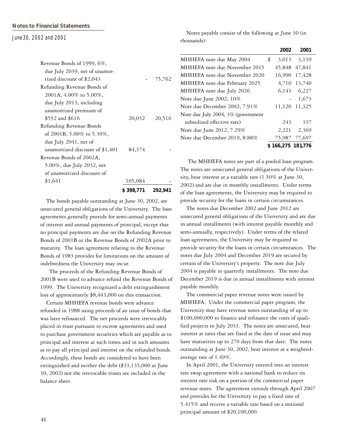|                                 | \$ 398,771 | 292,941 |
|---------------------------------|------------|---------|
| \$1,641                         | 105,084    |         |
| of unamortized discount of      |            |         |
| 5.00%, due July 2032, net       |            |         |
| Revenue Bonds of 2002A,         |            |         |
| unamortized discount of \$1,401 | 84,374     |         |
| due July 2041, net of           |            |         |
| of 2001B, 5.00% to 5.30%,       |            |         |
| Refunding Revenue Bonds         |            |         |
| \$552 and \$616                 | 20,032     | 20,516  |
| unamortized premium of          |            |         |
| due July 2013, including        |            |         |
| 2001A, $4.00\%$ to $5.00\%$ ,   |            |         |
| Refunding Revenue Bonds of      |            |         |
| tized discount of \$2,043       |            | 75,762  |
| due July 2039, net of unamor-   |            |         |
| Revenue Bonds of 1999, 6%,      |            |         |

 The bonds payable outstanding at June 30, 2002, are unsecured general obligations of the University. The loan agreements generally provide for semi-annual payments of interest and annual payments of principal, except that no principal payments are due on the Refunding Revenue Bonds of 2001B or the Revenue Bonds of 2002A prior to maturity. The loan agreement relating to the Revenue Bonds of 1983 provides for limitations on the amount of indebtedness the University may incur.

 The proceeds of the Refunding Revenue Bonds of 2001B were used to advance refund the Revenue Bonds of 1999. The University recognized a debt extinguishment loss of approximately \$8,443,000 on this transaction.

 Certain MHHEFA revenue bonds were advance refunded in 1988 using proceeds of an issue of bonds that was later refinanced. The net proceeds were irrevocably placed in trust pursuant to escrow agreements and used to purchase government securities which are payable as to principal and interest at such times and in such amounts as to pay all principal and interest on the refunded bonds. Accordingly, these bonds are considered to have been extinguished and neither the debt (\$33,135,000 at June 30, 2002) nor the irrevocable trusts are included in the balance sheet.

 Notes payable consist of the following at June 30 (in thousands):

|                                    | 2002              | 2001        |
|------------------------------------|-------------------|-------------|
| MHHEFA note due May 2004           | \$<br>3,013       | 3,139       |
| MHHEFA note due November 2015      | 45,848            | 47,841      |
| MHHEFA note due November 2020      | 16,990            | 17,428      |
| MHHEFA note due February 2025      | 4,710             | 13,740      |
| MHHEFA note due July 2026          |                   | 6,143 6,227 |
| Note due June 2002, 10%            |                   | 1,673       |
| Note due December 2002, 7.91%      | 11,120            | 11,325      |
| Note due July 2004, 3% (government |                   |             |
| subsidized effective rate)         | 243               | 337         |
| Note due June 2012, 7.29%          | 2,221             | 2,369       |
| Note due December 2019, 8.88%      | 75,987            | 77,697      |
|                                    | \$166,275 181,776 |             |

 The MHHEFA notes are part of a pooled loan program. The notes are unsecured general obligations of the University, bear interest at a variable rate (1.50% at June 30, 2002) and are due in monthly installments. Under terms of the loan agreements, the University may be required to provide security for the loans in certain circumstances.

 The notes due December 2002 and June 2012 are unsecured general obligations of the University and are due in annual installments (with interest payable monthly and semi-annually, respectively). Under terms of the related loan agreements, the University may be required to provide security for the loans in certain circumstances. The notes due July 2004 and December 2019 are secured by certain of the University's property. The note due July 2004 is payable in quarterly installments. The note due December 2019 is due in annual installments with interest payable monthly.

 The commercial paper revenue notes were issued by MHHEFA. Under the commercial paper program, the University may have revenue notes outstanding of up to \$100,000,000 to finance and refinance the costs of qualified projects to July 2031. The notes are unsecured, bear interest at rates that are fixed at the date of issue and may have maturities up to 270 days from that date. The notes outstanding at June 30, 2002, bear interest at a weightedaverage rate of 1.49%.

 In April 2001, the University entered into an interest rate swap agreement with a national bank to reduce its interest rate risk on a portion of the commercial paper revenue notes. The agreement extends through April 2007 and provides for the University to pay a fixed rate of 5.415% and receive a variable rate based on a notional principal amount of \$20,100,000.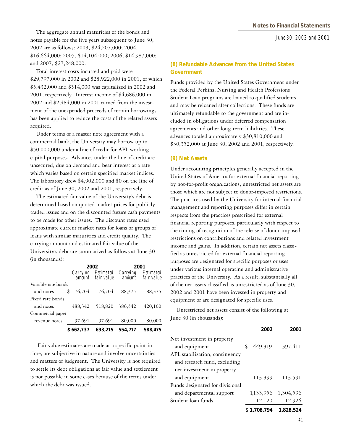The aggregate annual maturities of the bonds and notes payable for the five years subsequent to June 30, 2002 are as follows: 2003, \$24,207,000; 2004, \$16,664,000; 2005, \$14,104,000; 2006, \$14,987,000; and 2007, \$27,248,000.

 Total interest costs incurred and paid were \$29,797,000 in 2002 and \$28,922,000 in 2001, of which \$5,432,000 and \$514,000 was capitalized in 2002 and 2001, respectively. Interest income of \$4,686,000 in 2002 and \$2,484,000 in 2001 earned from the investment of the unexpended proceeds of certain borrowings has been applied to reduce the costs of the related assets acquired.

 Under terms of a master note agreement with a commercial bank, the University may borrow up to \$50,000,000 under a line of credit for APL working capital purposes. Advances under the line of credit are unsecured, due on demand and bear interest at a rate which varies based on certain specified market indices. The laboratory drew \$4,902,000 and \$0 on the line of credit as of June 30, 2002 and 2001, respectively.

 The estimated fair value of the University's debt is determined based on quoted market prices for publicly traded issues and on the discounted future cash payments to be made for other issues. The discount rates used approximate current market rates for loans or groups of loans with similar maturities and credit quality. The carrying amount and estimated fair value of the University's debt are summarized as follows at June 30 (in thousands):

|                     |                    | 2002                           |                    | 2001                    |
|---------------------|--------------------|--------------------------------|--------------------|-------------------------|
|                     | Carrying<br>amount | <i>Estimated</i><br>fair value | Carrying<br>amount | Estimated<br>fair value |
| Variable rate bonds |                    |                                |                    |                         |
| and notes           | 76,704<br>\$       | 76,704                         | 88,375             | 88,375                  |
| Fixed rate bonds    |                    |                                |                    |                         |
| and notes           | 488,342            | 518,820                        | 386,342            | 420,100                 |
| Commercial paper    |                    |                                |                    |                         |
| revenue notes       | 97,691             | 97,691                         | 80,000             | 80,000                  |
|                     | \$662,737          | 693.215                        | 554.717            | 588,475                 |

 Fair value estimates are made at a specific point in time, are subjective in nature and involve uncertainties and matters of judgment. The University is not required to settle its debt obligations at fair value and settlement is not possible in some cases because of the terms under which the debt was issued.

#### **(8) Refundable Advances from the United States Government**

Funds provided by the United States Government under the Federal Perkins, Nursing and Health Professions Student Loan programs are loaned to qualified students and may be reloaned after collections. These funds are ultimately refundable to the government and are included in obligations under deferred compensation agreements and other long-term liabilities. These advances totaled approximately \$30,810,000 and \$30,352,000 at June 30, 2002 and 2001, respectively.

#### **(9) Net Assets**

Under accounting principles generally accepted in the United States of America for external financial reporting by not-for-profit organizations, unrestricted net assets are those which are not subject to donor-imposed restrictions. The practices used by the University for internal financial management and reporting purposes differ in certain respects from the practices prescribed for external financial reporting purposes, particularly with respect to the timing of recognition of the release of donor-imposed restrictions on contributions and related investment income and gains. In addition, certain net assets classified as unrestricted for external financial reporting purposes are designated for specific purposes or uses under various internal operating and administrative practices of the University. As a result, substantially all of the net assets classified as unrestricted as of June 30, 2002 and 2001 have been invested in property and equipment or are designated for specific uses.

 Unrestricted net assets consist of the following at June 30 (in thousands):

|                                 | 2002          | 2001      |
|---------------------------------|---------------|-----------|
| Net investment in property      |               |           |
| and equipment                   | \$<br>449,319 | 397,411   |
| APL stabilization, contingency  |               |           |
| and research fund, excluding    |               |           |
| net investment in property      |               |           |
| and equipment                   | 113,399       | 113,591   |
| Funds designated for divisional |               |           |
| and departmental support        | 1,133,956     | 1,304,596 |
| Student loan funds              | 12,120        | 12,926    |
|                                 | \$1,708,794   | 1,828,524 |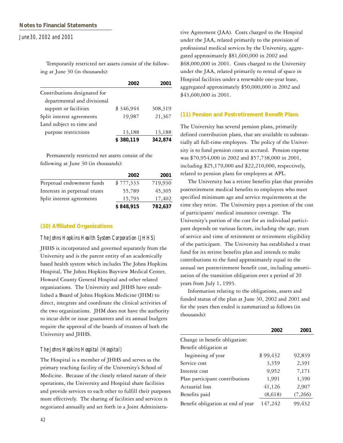Temporarily restricted net assets consist of the following at June 30 (in thousands):

|                              | 2002      | 2001    |
|------------------------------|-----------|---------|
| Contributions designated for |           |         |
| departmental and divisional  |           |         |
| support or facilities        | \$346,944 | 308,319 |
| Split interest agreements    | 19,987    | 21,367  |
| Land subject to time and     |           |         |
| purpose restrictions         | 13,188    | 13,188  |
|                              | \$380,119 | 342,874 |

 Permanently restricted net assets consist of the following at June 30 (in thousands):

|                               | 2002      | 2001    |
|-------------------------------|-----------|---------|
| Perpetual endowment funds     | \$777,333 | 719,930 |
| Interests in perpetual trusts | 55,789    | 45,305  |
| Split interest agreements     | 15,793    | 17,402  |
|                               | \$848,915 | 782,637 |

#### **(10) Affiliated Organizations**

#### *The Johns Hopkins Health System Corporation (JHHS)*

JHHS is incorporated and governed separately from the University and is the parent entity of an academically based health system which includes The Johns Hopkins Hospital, The Johns Hopkins Bayview Medical Center, Howard County General Hospital and other related organizations. The University and JHHS have established a Board of Johns Hopkins Medicine (JHM) to direct, integrate and coordinate the clinical activities of the two organizations. JHM does not have the authority to incur debt or issue guarantees and its annual budgets require the approval of the boards of trustees of both the University and JHHS.

#### *The Johns Hopkins Hospital (Hospital)*

The Hospital is a member of JHHS and serves as the primary teaching facility of the University's School of Medicine. Because of the closely related nature of their operations, the University and Hospital share facilities and provide services to each other to fulfill their purposes more effectively. The sharing of facilities and services is negotiated annually and set forth in a Joint Administrative Agreement (JAA). Costs charged to the Hospital under the JAA, related primarily to the provision of professional medical services by the University, aggregated approximately \$81,600,000 in 2002 and \$68,000,000 in 2001. Costs charged to the University under the JAA, related primarily to rental of space in Hospital facilities under a renewable one-year lease, aggregated approximately \$50,000,000 in 2002 and \$43,600,000 in 2001.

#### **(11) Pension and Postretirement Benefit Plans**

The University has several pension plans, primarily defined contribution plans, that are available to substantially all full-time employees. The policy of the University is to fund pension costs as accrued. Pension expense was \$70,954,000 in 2002 and \$57,738,000 in 2001, including \$25,179,000 and \$22,210,000, respectively, related to pension plans for employees at APL.

 The University has a retiree benefits plan that provides postretirement medical benefits to employees who meet specified minimum age and service requirements at the time they retire. The University pays a portion of the cost of participants' medical insurance coverage. The University's portion of the cost for an individual participant depends on various factors, including the age, years of service and time of retirement or retirement eligibility of the participant. The University has established a trust fund for its retiree benefits plan and intends to make contributions to the fund approximately equal to the annual net postretirement benefit cost, including amortization of the transition obligation over a period of 20 years from July 1, 1993.

 Information relating to the obligations, assets and funded status of the plan at June 30, 2002 and 2001 and for the years then ended is summarized as follows (in thousands):

|                                   | 2002     | 2001    |
|-----------------------------------|----------|---------|
| Change in benefit obligation:     |          |         |
| Benefit obligation at             |          |         |
| beginning of year                 | \$99,432 | 92,839  |
| Service cost                      | 3,359    | 2,391   |
| Interest cost                     | 9,952    | 7,171   |
| Plan participant contributions    | 1,991    | 1,390   |
| Actuarial loss                    | 41,126   | 2,907   |
| Benefits paid                     | (8,618)  | (7,266) |
| Benefit obligation at end of year | 147,242  | 99.432  |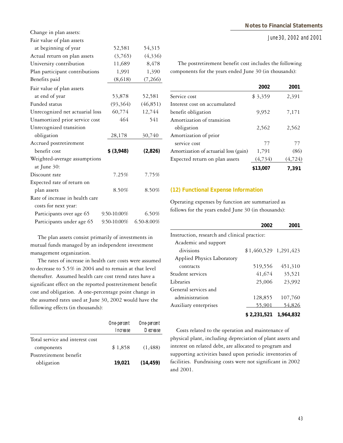Change in plan assets:

Fair value of plan assets

| Tail value of plail assets      |                  |            |
|---------------------------------|------------------|------------|
| at beginning of year            | 52,581           | 54,315     |
| Actual return on plan assets    | (3,765)          | (4,336)    |
| University contribution         | 11,689           | 8,478      |
| Plan participant contributions  | 1,991            | 1,390      |
| Benefits paid                   | (8,618)          | (7,266)    |
| Fair value of plan assets       |                  |            |
| at end of year                  | 53,878           | 52,581     |
| Funded status                   | (93,364)         | (46, 851)  |
| Unrecognized net actuarial loss | 60,774           | 12,744     |
| Unamortized prior service cost  | 464              | 541        |
| Unrecognized transition         |                  |            |
| obligation                      | 28,178           | 30,740     |
| Accrued postretirement          |                  |            |
| benefit cost                    | \$ (3,948)       | (2,826)    |
| Weighted-average assumptions    |                  |            |
| at June 30:                     |                  |            |
| Discount rate                   | 7.25%            | 7.75%      |
| Expected rate of return on      |                  |            |
| plan assets                     | 8.50%            | 8.50%      |
| Rate of increase in health care |                  |            |
| costs for next year:            |                  |            |
| Participants over age 65        | $9.50 - 10.00\%$ | 6.50%      |
| Participants under age 65       | 9.50-10.00%      | 6.50-8.00% |

 The plan assets consist primarily of investments in mutual funds managed by an independent investment management organization.

 The rates of increase in health care costs were assumed to decrease to 5.5% in 2004 and to remain at that level thereafter. Assumed health care cost trend rates have a significant effect on the reported postretirement benefit cost and obligation. A one-percentage point change in the assumed rates used at June 30, 2002 would have the following effects (in thousands):

|                                 | One-percent<br><i>Increase</i> | One-percent<br>Decrease |
|---------------------------------|--------------------------------|-------------------------|
|                                 |                                |                         |
| Total service and interest cost |                                |                         |
| components                      | \$1,858                        | (1, 488)                |
| Postretirement benefit          |                                |                         |
| obligation                      | 19,021                         | (14, 459)               |

**Notes to Financial Statements**

*June 30, 2002 and 2001*

 The postretirement benefit cost includes the following components for the years ended June 30 (in thousands):

|                                       | 2002     | 2001     |
|---------------------------------------|----------|----------|
| Service cost                          | \$3,359  | 2,391    |
| Interest cost on accumulated          |          |          |
| benefit obligation                    | 9,952    | 7,171    |
| Amortization of transition            |          |          |
| obligation                            | 2,562    | 2,562    |
| Amortization of prior                 |          |          |
| service cost                          | 77       | 77       |
| Amortization of actuarial loss (gain) | 1,791    | (86)     |
| Expected return on plan assets        | (4, 734) | (4, 724) |
|                                       | \$13,007 | 7.391    |

#### **(12) Functional Expense Information**

Operating expenses by function are summarized as follows for the years ended June 30 (in thousands):

|                                              | 2002                   | 2001      |  |  |
|----------------------------------------------|------------------------|-----------|--|--|
| Instruction, research and clinical practice: |                        |           |  |  |
| Academic and support                         |                        |           |  |  |
| divisions                                    | $$1,460,529$ 1,291,423 |           |  |  |
| Applied Physics Laboratory                   |                        |           |  |  |
| contracts                                    | 519,556                | 451,310   |  |  |
| Student services                             | 41,674                 | 35,521    |  |  |
| Libraries                                    | 25,006                 | 23,992    |  |  |
| General services and                         |                        |           |  |  |
| administration                               | 128,855                | 107,760   |  |  |
| Auxiliary enterprises                        | 55.901                 | 54.826    |  |  |
|                                              | \$2,231,521            | 1,964,832 |  |  |

 Costs related to the operation and maintenance of physical plant, including depreciation of plant assets and interest on related debt, are allocated to program and supporting activities based upon periodic inventories of facilities. Fundraising costs were not significant in 2002 and 2001.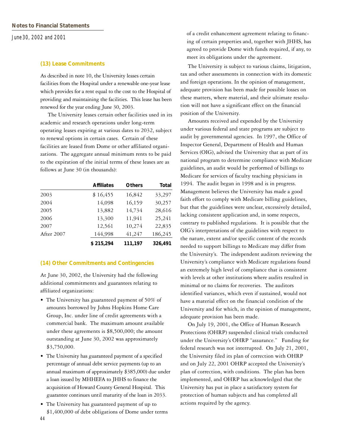#### **(13) Lease Commitments**

As described in note 10, the University leases certain facilities from the Hospital under a renewable one-year lease which provides for a rent equal to the cost to the Hospital of providing and maintaining the facilities. This lease has been renewed for the year ending June 30, 2003.

 The University leases certain other facilities used in its academic and research operations under long-term operating leases expiring at various dates to 2032, subject to renewal options in certain cases. Certain of these facilities are leased from Dome or other affiliated organizations. The aggregate annual minimum rents to be paid to the expiration of the initial terms of these leases are as follows at June 30 (in thousands):

|            | <b>Affiliates</b> | <b>Others</b> | <b>Total</b> |
|------------|-------------------|---------------|--------------|
| 2003       | \$16,455          | 16,842        | 33,297       |
| 2004       | 14,098            | 16,159        | 30,257       |
| 2005       | 13,882            | 14,734        | 28,616       |
| 2006       | 13,300            | 11,941        | 25,241       |
| 2007       | 12,561            | 10,274        | 22,835       |
| After 2007 | 144,998           | 41,247        | 186,245      |
|            | \$215,294         | 111,197       | 326,491      |

#### **(14) Other Commitments and Contingencies**

At June 30, 2002, the University had the following additional commitments and guarantees relating to affiliated organizations:

- The University has guaranteed payment of 50% of amounts borrowed by Johns Hopkins Home Care Group, Inc. under line of credit agreements with a commercial bank. The maximum amount available under these agreements is \$8,500,000; the amount outstanding at June 30, 2002 was approximately \$3,750,000.
- The University has guaranteed payment of a specified percentage of annual debt service payments (up to an annual maximum of approximately \$385,000) due under a loan issued by MHHEFA to JHHS to finance the acquisition of Howard County General Hospital. This guarantee continues until maturity of the loan in 2033.
- The University has guaranteed payment of up to \$1,400,000 of debt obligations of Dome under terms

of a credit enhancement agreement relating to financing of certain properties and, together with JHHS, has agreed to provide Dome with funds required, if any, to meet its obligations under the agreement.

 The University is subject to various claims, litigation, tax and other assessments in connection with its domestic and foreign operations. In the opinion of management, adequate provision has been made for possible losses on these matters, where material, and their ultimate resolution will not have a significant effect on the financial position of the University.

 Amounts received and expended by the University under various federal and state programs are subject to audit by governmental agencies. In 1997, the Office of Inspector General, Department of Health and Human Services (OIG), advised the University that as part of its national program to determine compliance with Medicare guidelines, an audit would be performed of billings to Medicare for services of faculty teaching physicians in 1994. The audit began in 1998 and is in progress. Management believes the University has made a good faith effort to comply with Medicare billing guidelines, but that the guidelines were unclear, excessively detailed, lacking consistent application and, in some respects, contrary to published regulations. It is possible that the OIG's interpretations of the guidelines with respect to the nature, extent and/or specific content of the records needed to support billings to Medicare may differ from the University's. The independent auditors reviewing the University's compliance with Medicare regulations found an extremely high level of compliance that is consistent with levels at other institutions where audits resulted in minimal or no claims for recoveries. The auditors identified variances, which even if sustained, would not have a material effect on the financial condition of the University and for which, in the opinion of management, adequate provision has been made.

 On July 19, 2001, the Office of Human Research Protections (OHRP) suspended clinical trials conducted under the University's OHRP "assurance." Funding for federal research was not interrupted. On July 21, 2001, the University filed its plan of correction with OHRP and on July 22, 2001 OHRP accepted the University's plan of correction, with conditions. The plan has been implemented, and OHRP has acknowledged that the University has put in place a satisfactory system for protection of human subjects and has completed all actions required by the agency.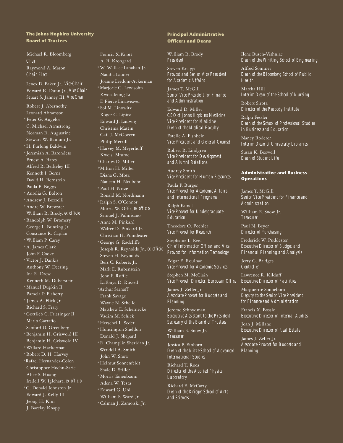#### **The Johns Hopkins University Board of Trustees**

 Michael R. Bloomberg  *Chair* Raymond A. Mason  *Chair Elect* Lenox D. Baker, Jr., *Vice Chair* Edward K. Dunn Jr., *Vice Chair* Stuart S. Janney III, *Vice Chair* Robert J. Abernethy Leonard Abramson \* Peter G. Angelos C. Michael Armstrong Norman R. Augustine Stewart W. Bainum Jr. \*H. Furlong Baldwin \* Jeremiah A. Barondess Ernest A. Bates Alfred R. Berkeley III Kenneth I. Berns David H. Bernstein Paula E. Boggs \* Aurelia G. Bolton \*Andrew J. Bozzelli \*Andre W. Brewster William R. Brody, *ex officio* \*Randolph W. Bromery George L. Bunting Jr. Constance R. Caplan \* William P. Carey \*A. James Clark John F. Cooke \*Victor J. Dankis Anthony W. Deering Ina R. Drew Kenneth M. Duberstein \* Manuel Dupkin II Pamela P. Flaherty \* James A. Flick Jr. Richard S. Frary \*Gottlieb C. Friesinger II Mario Garraffo Sanford D. Greenberg \*Benjamin H. Griswold III Benjamin H. Griswold IV \*Willard Hackerman \*Robert D. H. Harvey \*Rafael Hernandez-Colon Christopher Hoehn-Saric Alice S. Huang Iredell W. Iglehart, *ex officio* \*G. Donald Johnston Jr. Edward J. Kelly III Jeong H. Kim J. Barclay Knapp

 Francis X.Knott A. B. Krongard \*W. Wallace Lanahan Jr. Naudia Lauder Joanne Leedom-Ackerman \*Marjorie G. Lewisohn Kwok-leung Li F. Pierce Linaweaver \* Sol M. Linowitz Roger C. Lipitz Edward J. Ludwig Christina Mattin Gail J. McGovern Philip Merrill \*Harvey M. Meyerhoff Kweisi Mfume \*Charles D. Miller \*Milton H. Miller Diana G. Motz Naneen H. Neubohn \* Paul H. Nitze Ronald M. Nordmann \*Ralph S. O'Connor Morris W. Offit, *ex officio* Samuel J. Palmisano \* Anne M. Pinkard Walter D. Pinkard Jr. Christian H. Poindexter \* George G. Radcliffe Joseph R. Reynolds Jr., *ex officio* Steven H. Reynolds Bert C. Roberts Jr. Mark E. Rubenstein John F. Ruffle LaTonya D. Russell \*Arthur Sarnoff Frank Savage Wayne N. Schelle Matthew E. Schernecke Vadim M. Schick \*Herschel L. Seder \*Huntington Sheldon Donald J. Shepard \*R. Champlin Sheridan Jr. Wendell A. Smith John W. Snow \*Helmut Sonnenfeldt Shale D. Stiller \* Morris Tanenbaum Adena W. Testa \* Edward G. Uhl William F. Ward Jr. \* Calman J. Zamoiski Jr.

#### **Principal Administrative Officers and Deans**

William R. Brody *President*

Steven Knapp *Provost and Senior Vice President for Academic Affairs*

James T. McGill *Senior Vice President for Finance and Administration*

Edward D. Miller *CEO of Johns Hopkins Medicine Vice President for Medicine Dean of the Medical Faculty*

Estelle A. Fishbein *Vice President and General Counsel*

Robert R. Lindgren *Vice President for Development and Alumni Relations*

Audrey Smith *Vice President for Human Resources*

Paula P. Burger *Vice Provost for Academic Affairs and International Programs*

Ralph Kuncl *Vice Provost for Undergraduate Education*

Theodore O. Poehler *Vice Provost for Research*

Stephanie L. Reel *Chief Information Officer and Vice Provost for Information Technology*

Edgar E. Roulhac *Vice Provost for Academic Services*

Stephen M. McClain *Vice Provost; Director, European Office*

James J. Zeller Jr. *Associate Provost for Budgets and Planning*

Jerome Schnydman *Executive Assistant to the President Secretary of the Board of Trustees*

William E. Snow Jr. *Treasurer*

Jessica P. Einhorn *Dean of the Nitze School of Advanced International Studies*

Richard T. Roca *Director of the Applied Physics Laboratory*

Richard E. McCarty *Dean of the Krieger School of Arts and Sciences*

Ilene Busch-Vishniac *Dean of the Whiting School of Engineering*

Alfred Sommer *Dean of the Bloomberg School of Public Health*

Martha Hill *Interim Dean of the School of Nursing*

Robert Sirota *Director of the Peabody Institute*

Ralph Fessler *Dean of the School of Professional Studies in Business and Education*

Nancy Roderer *Interim Dean of University Libraries*

Susan K. Boswell *Dean of Student Life*

#### **Administrative and Business Operations**

James T. McGill *Senior Vice President for Finance and Administration*

William E. Snow Jr. *Treasurer*

Paul N. Beyer *Director of Purchasing*

Frederick W. Puddester *Executive Director of Budget and Financial Planning and Analysis*

Jerry G. Bridges *Controller*

Lawrence R. Kilduff *Executive Director of Facilities*

Marguerite Sonneborn *Deputy to the Senior Vice President for Finance and Administration*

Francis X. Bossle *Executive Director of Internal Audits*

Joan J. Millane *Executive Director of Real Estate*

James J. Zeller Jr. *Associate Provost for Budgets and Planning*